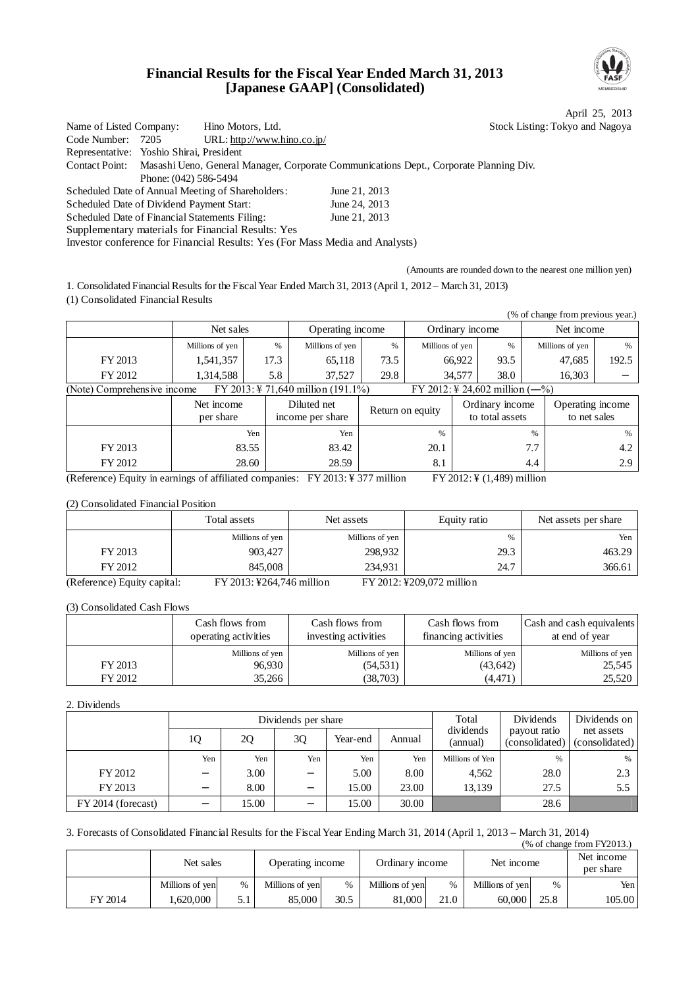### **Financial Results for the Fiscal Year Ended March 31, 2013 [Japanese GAAP] (Consolidated)**



April 25, 2013 : Tokyo and Nagoya

| Name of Listed Company:                        |                       | Hino Motors, Ltd.                                                            | <b>Stock Listing</b>                                                                                  |  |
|------------------------------------------------|-----------------------|------------------------------------------------------------------------------|-------------------------------------------------------------------------------------------------------|--|
| Code Number: 7205                              |                       | URL: http://www.hino.co.jp/                                                  |                                                                                                       |  |
| Representative: Yoshio Shirai, President       |                       |                                                                              |                                                                                                       |  |
|                                                |                       |                                                                              | Contact Point: Masashi Ueno, General Manager, Corporate Communications Dept., Corporate Planning Div. |  |
|                                                | Phone: (042) 586-5494 |                                                                              |                                                                                                       |  |
|                                                |                       | Scheduled Date of Annual Meeting of Shareholders:                            | June 21, 2013                                                                                         |  |
| Scheduled Date of Dividend Payment Start:      |                       |                                                                              | June 24, 2013                                                                                         |  |
| Scheduled Date of Financial Statements Filing: |                       |                                                                              | June 21, 2013                                                                                         |  |
|                                                |                       | Supplementary materials for Financial Results: Yes                           |                                                                                                       |  |
|                                                |                       | Investor conference for Financial Results: Yes (For Mass Media and Analysts) |                                                                                                       |  |

(Amounts are rounded down to the nearest one million yen)

1. Consolidated Financial Results for the Fiscal Year Ended March 31, 2013 (April 1, 2012 – March 31, 2013)

(1) Consolidated Financial Results

|                             |                         |       |                                                |      |                  |                 |                                    |     | (% of change from previous year.) |               |
|-----------------------------|-------------------------|-------|------------------------------------------------|------|------------------|-----------------|------------------------------------|-----|-----------------------------------|---------------|
|                             | Net sales               |       | Operating income                               |      |                  | Ordinary income |                                    |     | Net income                        |               |
|                             | Millions of yen         | $\%$  | Millions of yen                                | $\%$ | Millions of yen  |                 | %                                  |     | Millions of yen                   | $\%$          |
| FY 2013                     | 1,541,357               | 17.3  | 65,118                                         | 73.5 |                  | 66,922          | 93.5                               |     | 47,685                            | 192.5         |
| FY 2012                     | 1,314,588               | 5.8   | 37,527                                         | 29.8 |                  | 34,577          | 38.0                               |     | 16,303                            |               |
| (Note) Comprehensive income |                         |       | FY 2013: $\frac{1}{2}$ 71,640 million (191.1%) |      |                  |                 | FY 2012: ¥ 24,602 million $(-\%)$  |     |                                   |               |
|                             | Net income<br>per share |       | Diluted net<br>income per share                |      | Return on equity |                 | Ordinary income<br>to total assets |     | Operating income<br>to net sales  |               |
|                             |                         | Yen   | Yen                                            |      | %                |                 |                                    | %   |                                   | $\frac{0}{6}$ |
| FY 2013                     |                         | 83.55 | 83.42                                          |      | 20.1             |                 |                                    | 7.7 |                                   | 4.2           |
| FY 2012                     |                         | 28.60 | 28.59                                          |      | 8.1              |                 |                                    | 4.4 |                                   | 2.9           |

(Reference) Equity in earnings of affiliated companies: FY 2013: ¥ 377 million FY 2012: ¥ (1,489) million

#### (2) Consolidated Financial Position

|                             | Total assets              | Net assets      | Equity ratio              | Net assets per share |
|-----------------------------|---------------------------|-----------------|---------------------------|----------------------|
|                             | Millions of yen           | Millions of yen | %                         | Yen                  |
| FY 2013                     | 903.427                   | 298.932         | 29.3                      | 463.29               |
| FY 2012                     | 845,008                   | 234.931         | 24.7                      | 366.61               |
| (Reference) Equity capital: | FY 2013: ¥264,746 million |                 | FY 2012: ¥209,072 million |                      |

(3) Consolidated Cash Flows

|         | Cash flows from<br>operating activities | Cash flows from<br>investing activities | Cash flows from<br>financing activities | Cash and cash equivalents<br>at end of year |  |
|---------|-----------------------------------------|-----------------------------------------|-----------------------------------------|---------------------------------------------|--|
|         | Millions of yen                         | Millions of yen                         | Millions of yen                         | Millions of yen                             |  |
| FY 2013 | 96,930                                  | (54, 531)                               | (43, 642)                               | 25,545                                      |  |
| FY 2012 | 35.266                                  | (38,703)                                | (4, 471)                                | 25,520                                      |  |

### 2. Dividends

|                    |     |       | Dividends per share |          |        | Total                 | Dividends                      | Dividends on                 |
|--------------------|-----|-------|---------------------|----------|--------|-----------------------|--------------------------------|------------------------------|
|                    | 10  | 2Q    | 3Q                  | Year-end | Annual | dividends<br>(annual) | payout ratio<br>(consolidated) | net assets<br>(consolidated) |
|                    | Yen | Yen   | Yen                 | Yen      | Yen    | Millions of Yen       | $\%$                           | %                            |
| FY 2012            |     | 3.00  |                     | 5.00     | 8.00   | 4.562                 | 28.0                           | 2.3                          |
| FY 2013            |     | 8.00  |                     | 15.00    | 23.00  | 13.139                | 27.5                           | 5.5                          |
| FY 2014 (forecast) |     | 15.00 |                     | 15.00    | 30.00  |                       | 28.6                           |                              |

#### 3. Forecasts of Consolidated Financial Results for the Fiscal Year Ending March 31, 2014 (April 1, 2013 – March 31, 2014) (% of change from FY2013.)

|         | Net sales       |     | Operating income |               | Ordinary income |      | Net income      |      | Net income<br>per share |
|---------|-----------------|-----|------------------|---------------|-----------------|------|-----------------|------|-------------------------|
|         | Millions of yen | %   | Millions of yen  | $\frac{0}{6}$ | Millions of yen | $\%$ | Millions of yen | %    | Yen                     |
| FY 2014 | 1.620.000       | 5.1 | 85.000           | 30.5          | 81,000          | 21.0 | 60.000          | 25.8 | 105.00                  |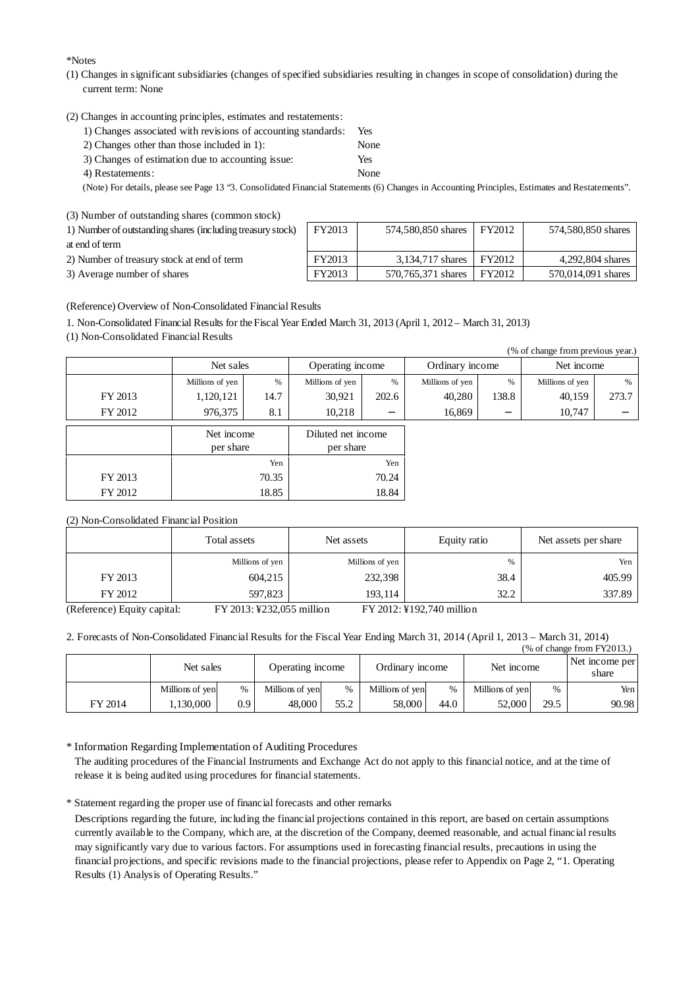\*Notes

(1) Changes in significant subsidiaries (changes of specified subsidiaries resulting in changes in scope of consolidation) during the current term: None

(2) Changes in accounting principles, estimates and restatements:

| 1) Changes associated with revisions of accounting standards: | Yes  |
|---------------------------------------------------------------|------|
| 2) Changes other than those included in $1$ :                 | None |
| 3) Changes of estimation due to accounting issue:             | Yes  |
| 4) Restatements:                                              | None |

(Note) For details, please see Page 13 "3. Consolidated Financial Statements (6) Changes in Accounting Principles, Estimates and Restatements".

|  | (3) Number of outstanding shares (common stock) |  |
|--|-------------------------------------------------|--|

| 1) Number of outstanding shares (including treasury stock) |  |
|------------------------------------------------------------|--|

at end of term

2) Number of treasury stock at end of term

3) Average number of shares

| FY2013 | 574,580,850 shares | FY2012 | 574,580,850 shares |
|--------|--------------------|--------|--------------------|
| FY2013 | 3.134.717 shares   | FY2012 | 4.292.804 shares   |
| FY2013 | 570.765.371 shares | FY2012 | 570.014.091 shares |

(Reference) Overview of Non-Consolidated Financial Results

1. Non-Consolidated Financial Results for the Fiscal Year Ended March 31, 2013 (April 1, 2012 – March 31, 2013)

(1) Non-Consolidated Financial Results

|         |                         |       |                                 |       |                 |       | (% of change from previous year.) |       |
|---------|-------------------------|-------|---------------------------------|-------|-----------------|-------|-----------------------------------|-------|
|         | Net sales               |       | Operating income                |       | Ordinary income |       | Net income                        |       |
|         | Millions of yen         | %     | Millions of yen                 | $\%$  | Millions of yen | $\%$  | Millions of yen                   | $\%$  |
| FY 2013 | 1,120,121               | 14.7  | 30,921                          | 202.6 | 40,280          | 138.8 | 40,159                            | 273.7 |
| FY 2012 | 976,375                 | 8.1   | 10,218                          |       | 16,869          |       | 10,747                            |       |
|         | Net income<br>per share |       | Diluted net income<br>per share |       |                 |       |                                   |       |
|         |                         | Yen   |                                 | Yen   |                 |       |                                   |       |
| FY 2013 |                         | 70.35 |                                 | 70.24 |                 |       |                                   |       |
| FY 2012 |                         | 18.85 |                                 | 18.84 |                 |       |                                   |       |

#### (2) Non-Consolidated Financial Position

|                                                                                                                                                                                                                                                                                                                    | Total assets                                                       | Net assets      | Equity ratio | Net assets per share |  |
|--------------------------------------------------------------------------------------------------------------------------------------------------------------------------------------------------------------------------------------------------------------------------------------------------------------------|--------------------------------------------------------------------|-----------------|--------------|----------------------|--|
|                                                                                                                                                                                                                                                                                                                    | Millions of yen                                                    | Millions of yen | %            | Yen                  |  |
| FY 2013                                                                                                                                                                                                                                                                                                            | 604,215                                                            | 232,398         | 38.4         | 405.99               |  |
| FY 2012                                                                                                                                                                                                                                                                                                            | 597,823                                                            | 193.114         | 32.2         | 337.89               |  |
| $\sqrt{D}$ $\sqrt{D}$ $\sqrt{D}$ $\sqrt{D}$ $\sqrt{D}$ $\sqrt{D}$ $\sqrt{D}$ $\sqrt{D}$ $\sqrt{D}$ $\sqrt{D}$ $\sqrt{D}$ $\sqrt{D}$ $\sqrt{D}$ $\sqrt{D}$ $\sqrt{D}$ $\sqrt{D}$ $\sqrt{D}$ $\sqrt{D}$ $\sqrt{D}$ $\sqrt{D}$ $\sqrt{D}$ $\sqrt{D}$ $\sqrt{D}$ $\sqrt{D}$ $\sqrt{D}$ $\sqrt{D}$ $\sqrt{D}$ $\sqrt{D$ | $\Gamma V L \Omega$ 11. $\Gamma R \Omega \Omega R \Omega T$ . [11] |                 |              |                      |  |

(Reference) Equity capital: FY 2013: ¥232,055 million FY 2012: ¥192,740 million

<sup>2.</sup> Forecasts of Non-Consolidated Financial Results for the Fiscal Year Ending March 31, 2014 (April 1, 2013 – March 31, 2014)  $(% \text{ of change from EV212})$ 

|         | Net sales       |     | Operating income |      | Ordinary income |               | $\frac{1}{20}$ of change homer 12015.1<br>Net income |      | Net income per<br>share |
|---------|-----------------|-----|------------------|------|-----------------|---------------|------------------------------------------------------|------|-------------------------|
|         | Millions of yen | %   | Millions of yen  | $\%$ | Millions of yen | $\frac{0}{0}$ | Millions of yen                                      | %    | Yen.                    |
| FY 2014 | .130.000        | 0.9 | 48,000           | 55.2 | 58,000          | 44.0          | 52.000                                               | 29.5 | 90.98                   |

\* Information Regarding Implementation of Auditing Procedures

The auditing procedures of the Financial Instruments and Exchange Act do not apply to this financial notice, and at the time of release it is being audited using procedures for financial statements.

\* Statement regarding the proper use of financial forecasts and other remarks

Descriptions regarding the future, including the financial projections contained in this report, are based on certain assumptions currently available to the Company, which are, at the discretion of the Company, deemed reasonable, and actual financial results may significantly vary due to various factors. For assumptions used in forecasting financial results, precautions in using the financial projections, and specific revisions made to the financial projections, please refer to Appendix on Page 2, "1. Operating Results (1) Analysis of Operating Results."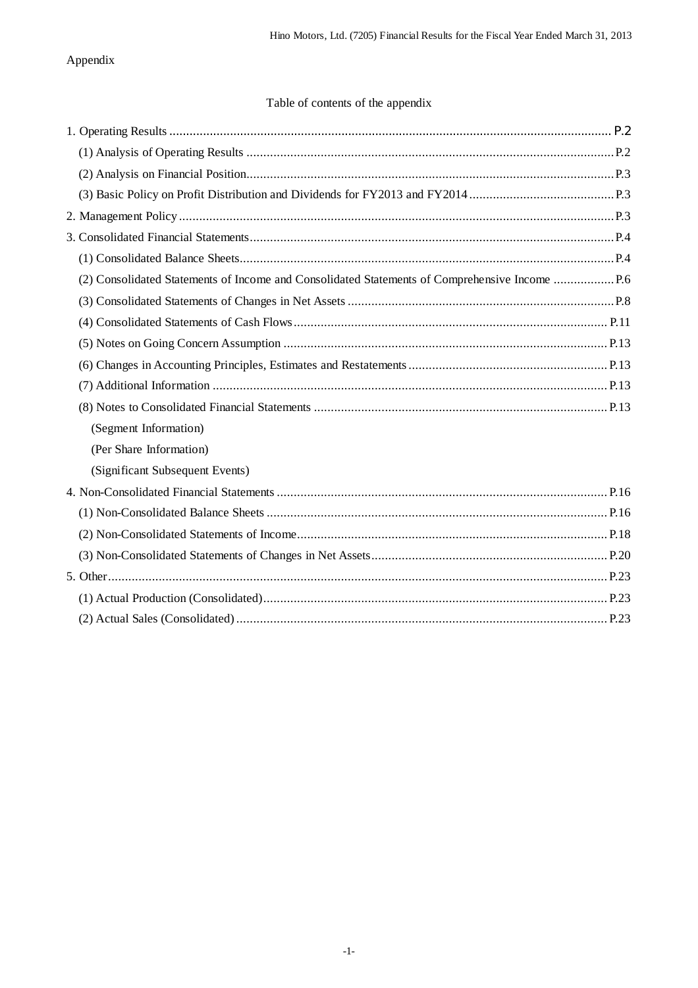## Appendix

## Table of contents of the appendix

| (Segment Information)           |  |
|---------------------------------|--|
| (Per Share Information)         |  |
| (Significant Subsequent Events) |  |
|                                 |  |
|                                 |  |
|                                 |  |
|                                 |  |
|                                 |  |
|                                 |  |
|                                 |  |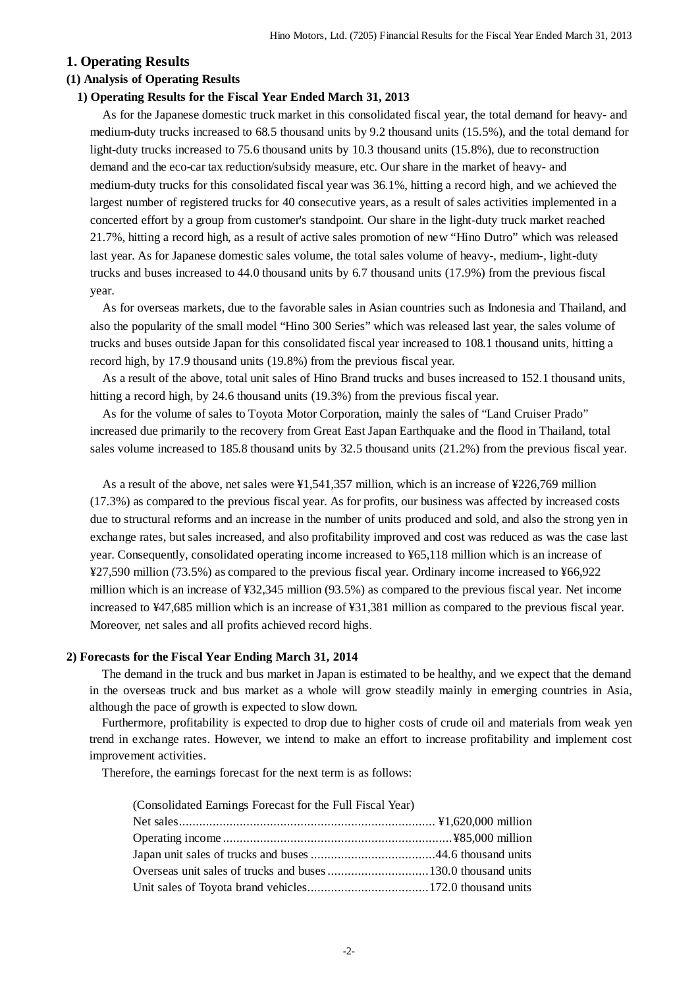### **1. Operating Results**

#### **(1) Analysis of Operating Results**

#### **1) Operating Results for the Fiscal Year Ended March 31, 2013**

As for the Japanese domestic truck market in this consolidated fiscal year, the total demand for heavy- and medium-duty trucks increased to 68.5 thousand units by 9.2 thousand units (15.5%), and the total demand for light-duty trucks increased to 75.6 thousand units by 10.3 thousand units (15.8%), due to reconstruction demand and the eco-car tax reduction/subsidy measure, etc. Our share in the market of heavy- and medium-duty trucks for this consolidated fiscal year was 36.1%, hitting a record high, and we achieved the largest number of registered trucks for 40 consecutive years, as a result of sales activities implemented in a concerted effort by a group from customer's standpoint. Our share in the light-duty truck market reached 21.7%, hitting a record high, as a result of active sales promotion of new "Hino Dutro" which was released last year. As for Japanese domestic sales volume, the total sales volume of heavy-, medium-, light-duty trucks and buses increased to 44.0 thousand units by 6.7 thousand units (17.9%) from the previous fiscal year.

As for overseas markets, due to the favorable sales in Asian countries such as Indonesia and Thailand, and also the popularity of the small model "Hino 300 Series" which was released last year, the sales volume of trucks and buses outside Japan for this consolidated fiscal year increased to 108.1 thousand units, hitting a record high, by 17.9 thousand units (19.8%) from the previous fiscal year.

As a result of the above, total unit sales of Hino Brand trucks and buses increased to 152.1 thousand units, hitting a record high, by 24.6 thousand units (19.3%) from the previous fiscal year.

As for the volume of sales to Toyota Motor Corporation, mainly the sales of "Land Cruiser Prado" increased due primarily to the recovery from Great East Japan Earthquake and the flood in Thailand, total sales volume increased to 185.8 thousand units by 32.5 thousand units (21.2%) from the previous fiscal year.

As a result of the above, net sales were ¥1,541,357 million, which is an increase of ¥226,769 million (17.3%) as compared to the previous fiscal year. As for profits, our business was affected by increased costs due to structural reforms and an increase in the number of units produced and sold, and also the strong yen in exchange rates, but sales increased, and also profitability improved and cost was reduced as was the case last year. Consequently, consolidated operating income increased to ¥65,118 million which is an increase of ¥27,590 million (73.5%) as compared to the previous fiscal year. Ordinary income increased to ¥66,922 million which is an increase of ¥32,345 million (93.5%) as compared to the previous fiscal year. Net income increased to ¥47,685 million which is an increase of ¥31,381 million as compared to the previous fiscal year. Moreover, net sales and all profits achieved record highs.

#### **2) Forecasts for the Fiscal Year Ending March 31, 2014**

The demand in the truck and bus market in Japan is estimated to be healthy, and we expect that the demand in the overseas truck and bus market as a whole will grow steadily mainly in emerging countries in Asia, although the pace of growth is expected to slow down.

Furthermore, profitability is expected to drop due to higher costs of crude oil and materials from weak yen trend in exchange rates. However, we intend to make an effort to increase profitability and implement cost improvement activities.

Therefore, the earnings forecast for the next term is as follows:

| (Consolidated Earnings Forecast for the Full Fiscal Year) |  |
|-----------------------------------------------------------|--|
|                                                           |  |
|                                                           |  |
|                                                           |  |
|                                                           |  |
|                                                           |  |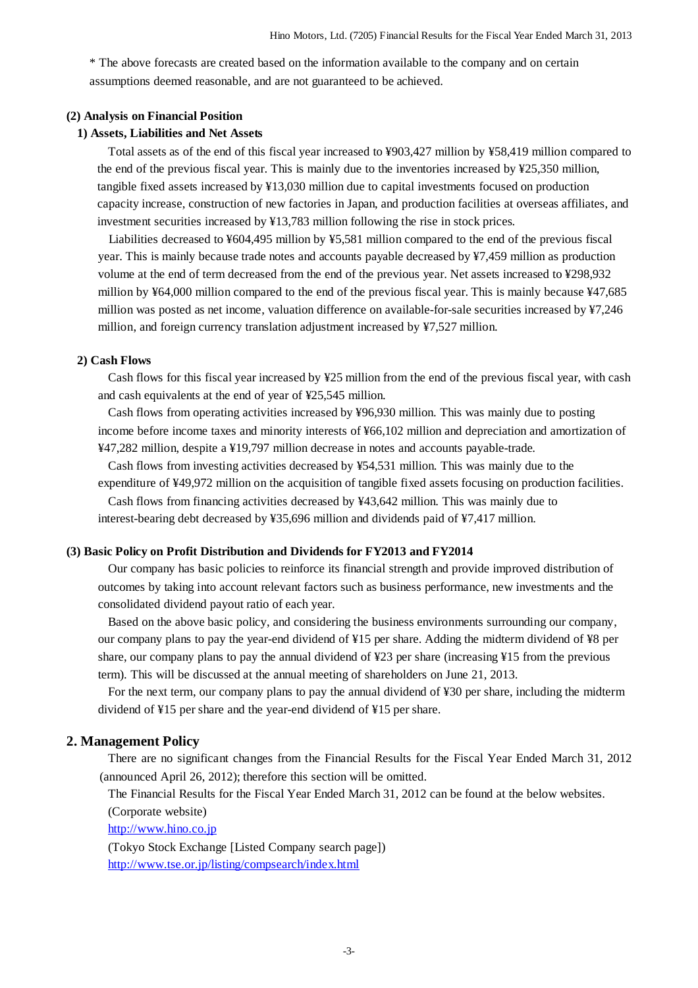\* The above forecasts are created based on the information available to the company and on certain assumptions deemed reasonable, and are not guaranteed to be achieved.

#### **(2) Analysis on Financial Position**

#### **1) Assets, Liabilities and Net Assets**

Total assets as of the end of this fiscal year increased to ¥903,427 million by ¥58,419 million compared to the end of the previous fiscal year. This is mainly due to the inventories increased by ¥25,350 million, tangible fixed assets increased by ¥13,030 million due to capital investments focused on production capacity increase, construction of new factories in Japan, and production facilities at overseas affiliates, and investment securities increased by ¥13,783 million following the rise in stock prices.

Liabilities decreased to ¥604,495 million by ¥5,581 million compared to the end of the previous fiscal year. This is mainly because trade notes and accounts payable decreased by ¥7,459 million as production volume at the end of term decreased from the end of the previous year. Net assets increased to ¥298,932 million by ¥64,000 million compared to the end of the previous fiscal year. This is mainly because ¥47,685 million was posted as net income, valuation difference on available-for-sale securities increased by ¥7,246 million, and foreign currency translation adjustment increased by ¥7,527 million.

### **2) Cash Flows**

Cash flows for this fiscal year increased by ¥25 million from the end of the previous fiscal year, with cash and cash equivalents at the end of year of ¥25,545 million.

Cash flows from operating activities increased by ¥96,930 million. This was mainly due to posting income before income taxes and minority interests of ¥66,102 million and depreciation and amortization of ¥47,282 million, despite a ¥19,797 million decrease in notes and accounts payable-trade.

Cash flows from investing activities decreased by ¥54,531 million. This was mainly due to the

expenditure of ¥49,972 million on the acquisition of tangible fixed assets focusing on production facilities.

Cash flows from financing activities decreased by ¥43,642 million. This was mainly due to interest-bearing debt decreased by ¥35,696 million and dividends paid of ¥7,417 million.

#### **(3) Basic Policy on Profit Distribution and Dividends for FY2013 and FY2014**

Our company has basic policies to reinforce its financial strength and provide improved distribution of outcomes by taking into account relevant factors such as business performance, new investments and the consolidated dividend payout ratio of each year.

Based on the above basic policy, and considering the business environments surrounding our company, our company plans to pay the year-end dividend of ¥15 per share. Adding the midterm dividend of ¥8 per share, our company plans to pay the annual dividend of ¥23 per share (increasing ¥15 from the previous term). This will be discussed at the annual meeting of shareholders on June 21, 2013.

For the next term, our company plans to pay the annual dividend of ¥30 per share, including the midterm dividend of ¥15 per share and the year-end dividend of ¥15 per share.

### **2. Management Policy**

There are no significant changes from the Financial Results for the Fiscal Year Ended March 31, 2012 (announced April 26, 2012); therefore this section will be omitted.

The Financial Results for the Fiscal Year Ended March 31, 2012 can be found at the below websites. (Corporate website)

http://www.hino.co.jp

(Tokyo Stock Exchange [Listed Company search page]) http://www.tse.or.jp/listing/compsearch/index.html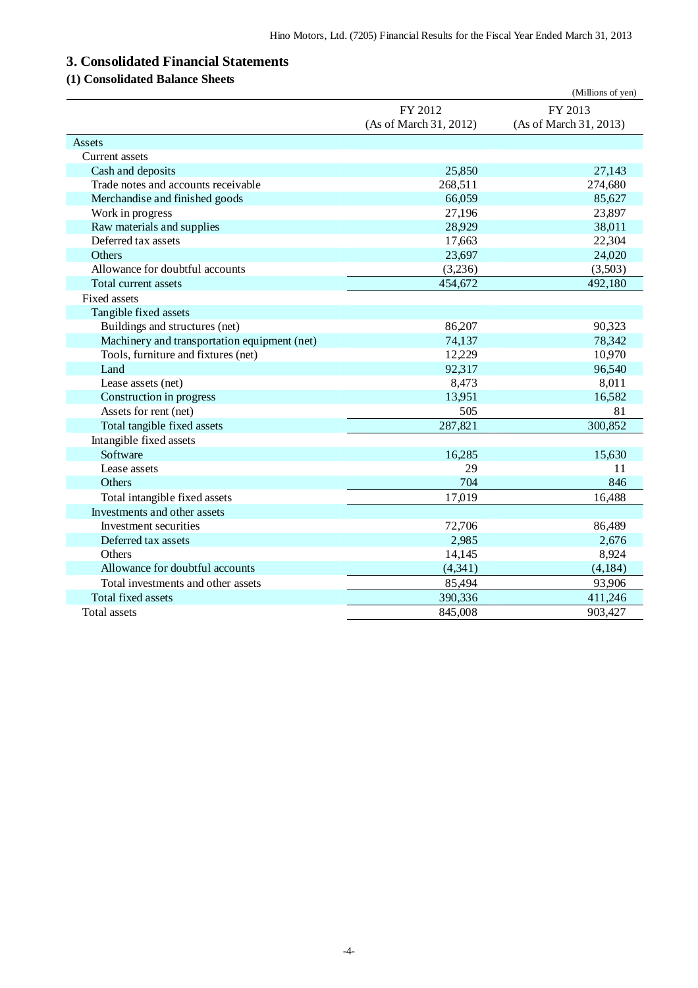# **3. Consolidated Financial Statements**

## **(1) Consolidated Balance Sheets**

|                                              |                        | (Millions of yen)      |
|----------------------------------------------|------------------------|------------------------|
|                                              | FY 2012                | FY 2013                |
|                                              | (As of March 31, 2012) | (As of March 31, 2013) |
| Assets                                       |                        |                        |
| Current assets                               |                        |                        |
| Cash and deposits                            | 25,850                 | 27,143                 |
| Trade notes and accounts receivable          | 268,511                | 274,680                |
| Merchandise and finished goods               | 66,059                 | 85,627                 |
| Work in progress                             | 27,196                 | 23,897                 |
| Raw materials and supplies                   | 28,929                 | 38,011                 |
| Deferred tax assets                          | 17,663                 | 22,304                 |
| <b>Others</b>                                | 23,697                 | 24,020                 |
| Allowance for doubtful accounts              | (3,236)                | (3,503)                |
| Total current assets                         | 454,672                | 492,180                |
| <b>Fixed assets</b>                          |                        |                        |
| Tangible fixed assets                        |                        |                        |
| Buildings and structures (net)               | 86,207                 | 90,323                 |
| Machinery and transportation equipment (net) | 74,137                 | 78,342                 |
| Tools, furniture and fixtures (net)          | 12,229                 | 10,970                 |
| Land                                         | 92,317                 | 96,540                 |
| Lease assets (net)                           | 8,473                  | 8,011                  |
| Construction in progress                     | 13,951                 | 16,582                 |
| Assets for rent (net)                        | 505                    | 81                     |
| Total tangible fixed assets                  | 287,821                | 300,852                |
| Intangible fixed assets                      |                        |                        |
| Software                                     | 16,285                 | 15,630                 |
| Lease assets                                 | 29                     | 11                     |
| Others                                       | 704                    | 846                    |
| Total intangible fixed assets                | 17,019                 | 16,488                 |
| Investments and other assets                 |                        |                        |
| Investment securities                        | 72,706                 | 86,489                 |
| Deferred tax assets                          | 2,985                  | 2,676                  |
| Others                                       | 14,145                 | 8,924                  |
| Allowance for doubtful accounts              | (4, 341)               | (4, 184)               |
| Total investments and other assets           | 85,494                 | 93,906                 |
| Total fixed assets                           | 390,336                | 411,246                |
| <b>Total assets</b>                          | 845,008                | 903,427                |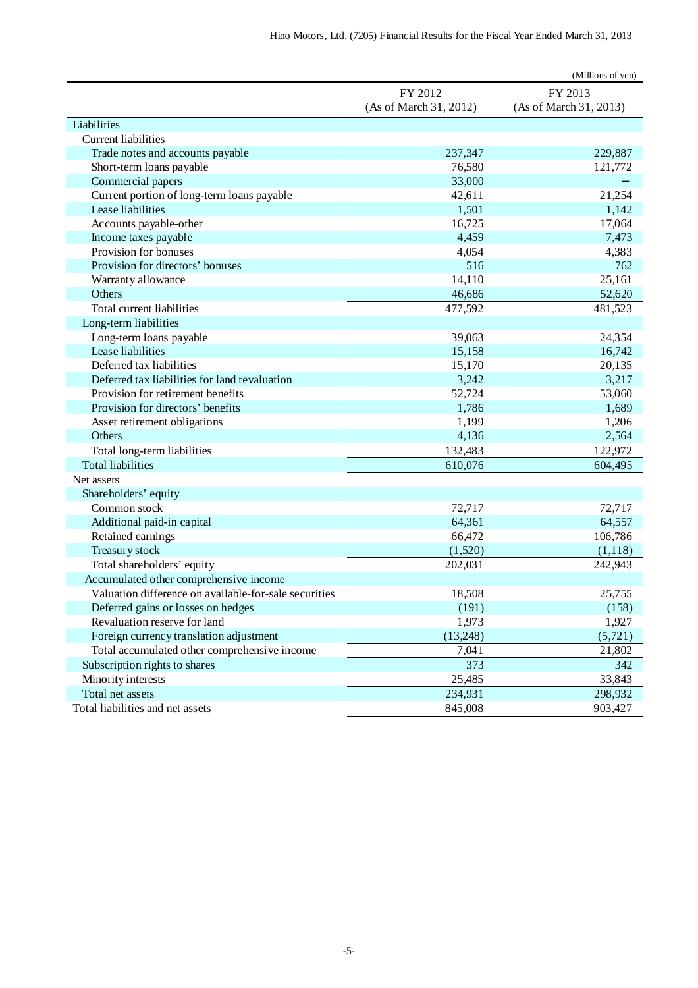|                                                       |                        | (Millions of yen)      |
|-------------------------------------------------------|------------------------|------------------------|
|                                                       | FY 2012                | FY 2013                |
|                                                       | (As of March 31, 2012) | (As of March 31, 2013) |
| Liabilities                                           |                        |                        |
| <b>Current liabilities</b>                            |                        |                        |
| Trade notes and accounts payable                      | 237,347                | 229,887                |
| Short-term loans payable                              | 76,580                 | 121,772                |
| Commercial papers                                     | 33,000                 |                        |
| Current portion of long-term loans payable            | 42,611                 | 21,254                 |
| Lease liabilities                                     | 1,501                  | 1,142                  |
| Accounts payable-other                                | 16,725                 | 17,064                 |
| Income taxes payable                                  | 4,459                  | 7,473                  |
| Provision for bonuses                                 | 4,054                  | 4,383                  |
| Provision for directors' bonuses                      | 516                    | 762                    |
| Warranty allowance                                    | 14,110                 | 25,161                 |
| Others                                                | 46,686                 | 52,620                 |
| Total current liabilities                             | 477,592                | 481,523                |
| Long-term liabilities                                 |                        |                        |
| Long-term loans payable                               | 39,063                 | 24,354                 |
| Lease liabilities                                     | 15,158                 | 16,742                 |
| Deferred tax liabilities                              | 15,170                 | 20,135                 |
| Deferred tax liabilities for land revaluation         | 3,242                  | 3,217                  |
| Provision for retirement benefits                     | 52,724                 | 53,060                 |
| Provision for directors' benefits                     | 1,786                  | 1,689                  |
| Asset retirement obligations                          | 1,199                  | 1,206                  |
| <b>Others</b>                                         | 4,136                  | 2,564                  |
| Total long-term liabilities                           | 132,483                | 122,972                |
| <b>Total liabilities</b>                              | 610,076                | 604,495                |
| Net assets                                            |                        |                        |
| Shareholders' equity                                  |                        |                        |
| Common stock                                          | 72,717                 | 72,717                 |
| Additional paid-in capital                            | 64,361                 | 64,557                 |
| Retained earnings                                     | 66,472                 | 106,786                |
| Treasury stock                                        | (1,520)                | (1,118)                |
| Total shareholders' equity                            | 202,031                | 242,943                |
| Accumulated other comprehensive income                |                        |                        |
| Valuation difference on available-for-sale securities | 18,508                 | 25,755                 |
| Deferred gains or losses on hedges                    | (191)                  | (158)                  |
| Revaluation reserve for land                          | 1,973                  | 1,927                  |
| Foreign currency translation adjustment               | (13,248)               | (5,721)                |
| Total accumulated other comprehensive income          | 7,041                  | 21,802                 |
| Subscription rights to shares                         | 373                    | 342                    |
| Minority interests                                    | 25,485                 | 33,843                 |
| Total net assets                                      | 234,931                | 298,932                |
| Total liabilities and net assets                      | 845,008                | 903,427                |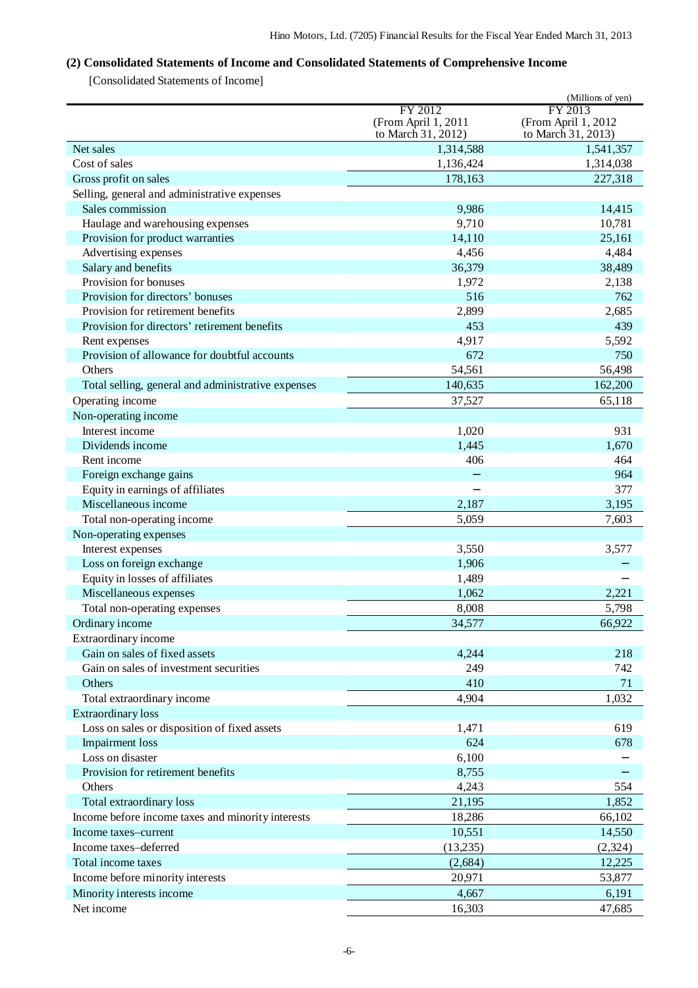## **(2) Consolidated Statements of Income and Consolidated Statements of Comprehensive Income**

[Consolidated Statements of Income]

|                                                    |                     | (Millions of yen)   |
|----------------------------------------------------|---------------------|---------------------|
|                                                    | FY 2012             | FY 2013             |
|                                                    | (From April 1, 2011 | (From April 1, 2012 |
|                                                    | to March 31, 2012)  | to March 31, 2013)  |
| Net sales                                          | 1,314,588           | 1,541,357           |
| Cost of sales                                      | 1,136,424           | 1,314,038           |
| Gross profit on sales                              | 178,163             | 227,318             |
| Selling, general and administrative expenses       |                     |                     |
| Sales commission                                   | 9,986               | 14,415              |
| Haulage and warehousing expenses                   | 9,710               | 10,781              |
| Provision for product warranties                   | 14,110              | 25,161              |
| Advertising expenses                               | 4,456               | 4,484               |
| Salary and benefits                                | 36,379              | 38,489              |
| Provision for bonuses                              | 1,972               | 2,138               |
| Provision for directors' bonuses                   | 516                 | 762                 |
| Provision for retirement benefits                  | 2,899               | 2,685               |
| Provision for directors' retirement benefits       | 453                 | 439                 |
| Rent expenses                                      | 4,917               | 5,592               |
| Provision of allowance for doubtful accounts       | 672                 | 750                 |
| Others                                             | 54,561              | 56,498              |
| Total selling, general and administrative expenses | 140,635             | 162,200             |
| Operating income                                   | 37,527              | 65,118              |
| Non-operating income                               |                     |                     |
| Interest income                                    | 1,020               | 931                 |
| Dividends income                                   | 1,445               | 1,670               |
| Rent income                                        | 406                 | 464                 |
| Foreign exchange gains                             |                     | 964                 |
| Equity in earnings of affiliates                   |                     | 377                 |
| Miscellaneous income                               | 2,187               | 3,195               |
| Total non-operating income                         | 5,059               | 7,603               |
| Non-operating expenses                             |                     |                     |
| Interest expenses                                  | 3,550               | 3,577               |
| Loss on foreign exchange                           | 1,906               |                     |
| Equity in losses of affiliates                     | 1,489               |                     |
| Miscellaneous expenses                             | 1,062               | 2,221               |
| Total non-operating expenses                       | 8,008               | 5,798               |
| Ordinary income                                    | 34,577              | 66,922              |
| Extraordinary income                               |                     |                     |
| Gain on sales of fixed assets                      | 4,244               | 218                 |
| Gain on sales of investment securities             | 249                 | 742                 |
| Others                                             | 410                 | 71                  |
| Total extraordinary income                         | 4,904               | 1,032               |
| <b>Extraordinary</b> loss                          |                     |                     |
| Loss on sales or disposition of fixed assets       | 1,471               | 619                 |
| <b>Impairment</b> loss                             | 624                 | 678                 |
| Loss on disaster                                   | 6,100               |                     |
| Provision for retirement benefits                  | 8,755               |                     |
| Others                                             | 4,243               | 554                 |
| Total extraordinary loss                           | 21,195              | 1,852               |
| Income before income taxes and minority interests  | 18,286              | 66,102              |
| Income taxes-current                               | 10,551              | 14,550              |
| Income taxes-deferred                              | (13,235)            | (2, 324)            |
| Total income taxes                                 | (2,684)             | 12,225              |
| Income before minority interests                   | 20,971              | 53,877              |
|                                                    |                     |                     |
| Minority interests income                          | 4,667               | 6,191               |
| Net income                                         | 16,303              | 47,685              |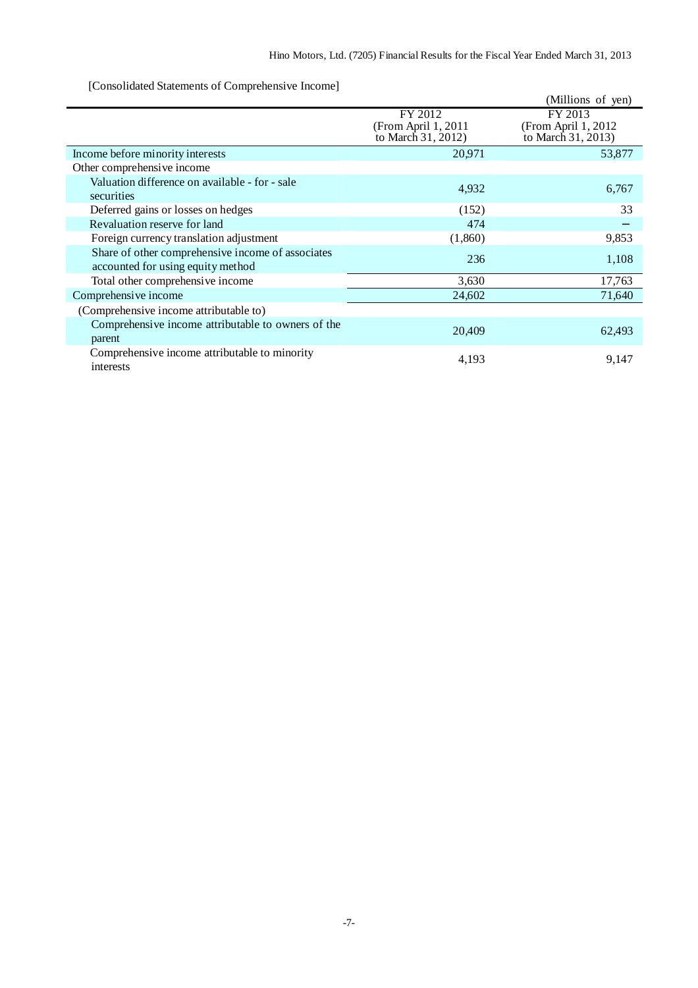[Consolidated Statements of Comprehensive Income]

| consolidated blatements of comprehensive income                                        |                                                      | (Millions of yen)                                     |
|----------------------------------------------------------------------------------------|------------------------------------------------------|-------------------------------------------------------|
|                                                                                        | FY 2012<br>(From April 1, 2011<br>to March 31, 2012) | FY 2013<br>(From April 1, 2012)<br>to March 31, 2013) |
| Income before minority interests                                                       | 20,971                                               | 53,877                                                |
| Other comprehensive income                                                             |                                                      |                                                       |
| Valuation difference on available - for - sale<br>securities                           | 4,932                                                | 6,767                                                 |
| Deferred gains or losses on hedges                                                     | (152)                                                | 33                                                    |
| Revaluation reserve for land                                                           | 474                                                  |                                                       |
| Foreign currency translation adjustment                                                | (1,860)                                              | 9,853                                                 |
| Share of other comprehensive income of associates<br>accounted for using equity method | 236                                                  | 1,108                                                 |
| Total other comprehensive income                                                       | 3,630                                                | 17,763                                                |
| Comprehensive income                                                                   | 24,602                                               | 71,640                                                |
| (Comprehensive income attributable to)                                                 |                                                      |                                                       |
| Comprehensive income attributable to owners of the<br>parent                           | 20,409                                               | 62,493                                                |
| Comprehensive income attributable to minority<br>interests                             | 4,193                                                | 9,147                                                 |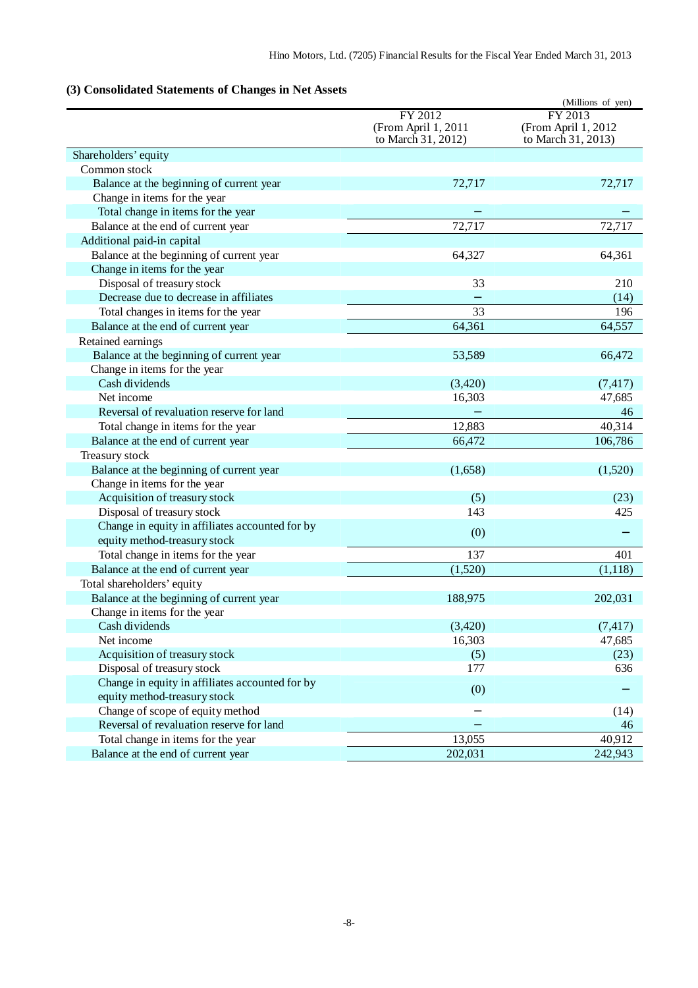## **(3) Consolidated Statements of Changes in Net Assets**

|                                                 |                     | (Millions of yen)                          |
|-------------------------------------------------|---------------------|--------------------------------------------|
|                                                 | FY 2012             | FY 2013                                    |
|                                                 | (From April 1, 2011 | (From April 1, 2012)<br>to March 31, 2013) |
|                                                 | to March 31, 2012)  |                                            |
| Shareholders' equity                            |                     |                                            |
| Common stock                                    |                     |                                            |
| Balance at the beginning of current year        | 72,717              | 72,717                                     |
| Change in items for the year                    |                     |                                            |
| Total change in items for the year              |                     |                                            |
| Balance at the end of current year              | 72,717              | 72,717                                     |
| Additional paid-in capital                      |                     |                                            |
| Balance at the beginning of current year        | 64,327              | 64,361                                     |
| Change in items for the year                    |                     |                                            |
| Disposal of treasury stock                      | 33                  | 210                                        |
| Decrease due to decrease in affiliates          |                     | (14)                                       |
| Total changes in items for the year             | 33                  | 196                                        |
| Balance at the end of current year              | 64,361              | 64,557                                     |
| Retained earnings                               |                     |                                            |
| Balance at the beginning of current year        | 53,589              | 66,472                                     |
| Change in items for the year                    |                     |                                            |
| Cash dividends                                  | (3,420)             | (7, 417)                                   |
| Net income                                      | 16,303              | 47,685                                     |
| Reversal of revaluation reserve for land        |                     | 46                                         |
| Total change in items for the year              | 12,883              | 40,314                                     |
| Balance at the end of current year              | 66,472              | 106,786                                    |
| Treasury stock                                  |                     |                                            |
| Balance at the beginning of current year        | (1,658)             | (1,520)                                    |
| Change in items for the year                    |                     |                                            |
| Acquisition of treasury stock                   | (5)                 | (23)                                       |
| Disposal of treasury stock                      | 143                 | 425                                        |
| Change in equity in affiliates accounted for by |                     |                                            |
| equity method-treasury stock                    | (0)                 |                                            |
| Total change in items for the year              | 137                 | 401                                        |
| Balance at the end of current year              | (1,520)             | (1,118)                                    |
| Total shareholders' equity                      |                     |                                            |
| Balance at the beginning of current year        | 188,975             | 202,031                                    |
| Change in items for the year                    |                     |                                            |
| Cash dividends                                  | (3,420)             | (7, 417)                                   |
| Net income                                      | 16,303              | 47,685                                     |
| Acquisition of treasury stock                   | (5)                 | (23)                                       |
| Disposal of treasury stock                      | 177                 | 636                                        |
| Change in equity in affiliates accounted for by |                     |                                            |
| equity method-treasury stock                    | (0)                 |                                            |
| Change of scope of equity method                |                     | (14)                                       |
| Reversal of revaluation reserve for land        |                     | 46                                         |
|                                                 |                     | 40,912                                     |
| Total change in items for the year              | 13,055              |                                            |
| Balance at the end of current year              | 202,031             | 242,943                                    |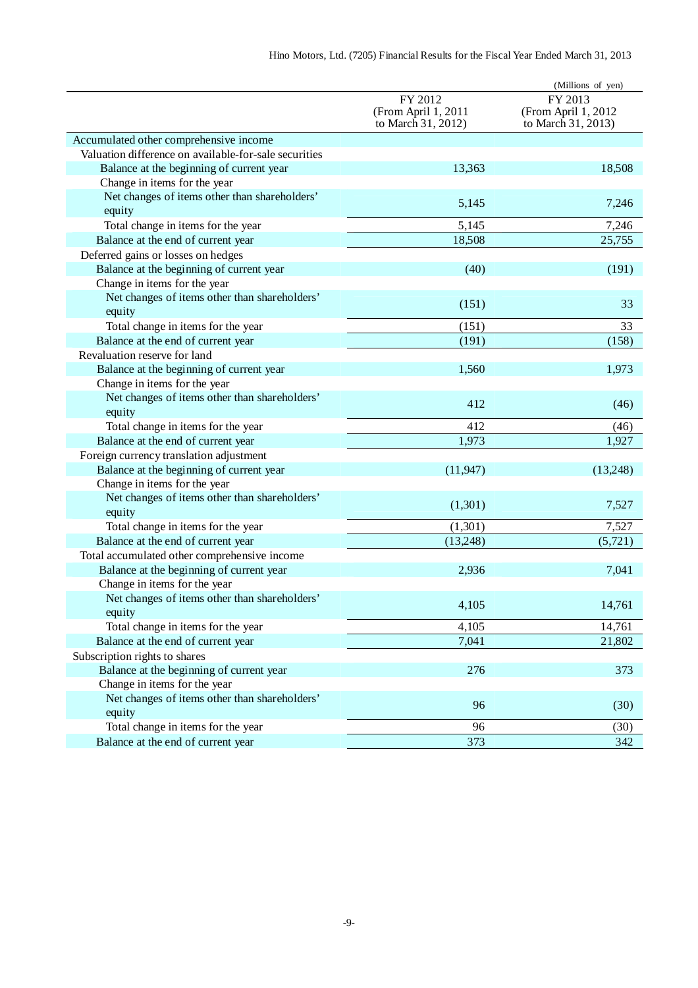|                                                         |                                                      | (Millions of yen)                                    |
|---------------------------------------------------------|------------------------------------------------------|------------------------------------------------------|
|                                                         | FY 2012<br>(From April 1, 2011<br>to March 31, 2012) | FY 2013<br>(From April 1, 2012<br>to March 31, 2013) |
| Accumulated other comprehensive income                  |                                                      |                                                      |
| Valuation difference on available-for-sale securities   |                                                      |                                                      |
| Balance at the beginning of current year                | 13,363                                               | 18,508                                               |
| Change in items for the year                            |                                                      |                                                      |
| Net changes of items other than shareholders'           | 5,145                                                | 7,246                                                |
| equity                                                  |                                                      |                                                      |
| Total change in items for the year                      | 5,145                                                | 7,246                                                |
| Balance at the end of current year                      | 18,508                                               | 25,755                                               |
| Deferred gains or losses on hedges                      |                                                      |                                                      |
| Balance at the beginning of current year                | (40)                                                 | (191)                                                |
| Change in items for the year                            |                                                      |                                                      |
| Net changes of items other than shareholders'           | (151)                                                | 33                                                   |
| equity                                                  |                                                      |                                                      |
| Total change in items for the year                      | (151)                                                | 33                                                   |
| Balance at the end of current year                      | (191)                                                | (158)                                                |
| Revaluation reserve for land                            |                                                      |                                                      |
| Balance at the beginning of current year                | 1,560                                                | 1,973                                                |
| Change in items for the year                            |                                                      |                                                      |
| Net changes of items other than shareholders'<br>equity | 412                                                  | (46)                                                 |
| Total change in items for the year                      | 412                                                  | (46)                                                 |
| Balance at the end of current year                      | 1,973                                                | 1,927                                                |
| Foreign currency translation adjustment                 |                                                      |                                                      |
| Balance at the beginning of current year                | (11, 947)                                            | (13,248)                                             |
| Change in items for the year                            |                                                      |                                                      |
| Net changes of items other than shareholders'<br>equity | (1,301)                                              | 7,527                                                |
| Total change in items for the year                      | (1,301)                                              | 7,527                                                |
| Balance at the end of current year                      | (13,248)                                             | (5,721)                                              |
| Total accumulated other comprehensive income            |                                                      |                                                      |
| Balance at the beginning of current year                | 2,936                                                | 7,041                                                |
| Change in items for the year                            |                                                      |                                                      |
| Net changes of items other than shareholders'           |                                                      |                                                      |
| equity                                                  | 4,105                                                | 14,761                                               |
| Total change in items for the year                      | 4,105                                                | 14,761                                               |
| Balance at the end of current year                      | 7,041                                                | 21,802                                               |
| Subscription rights to shares                           |                                                      |                                                      |
| Balance at the beginning of current year                | 276                                                  | 373                                                  |
| Change in items for the year                            |                                                      |                                                      |
| Net changes of items other than shareholders'           | 96                                                   | (30)                                                 |
| equity                                                  |                                                      |                                                      |
| Total change in items for the year                      | 96                                                   | (30)                                                 |
| Balance at the end of current year                      | 373                                                  | 342                                                  |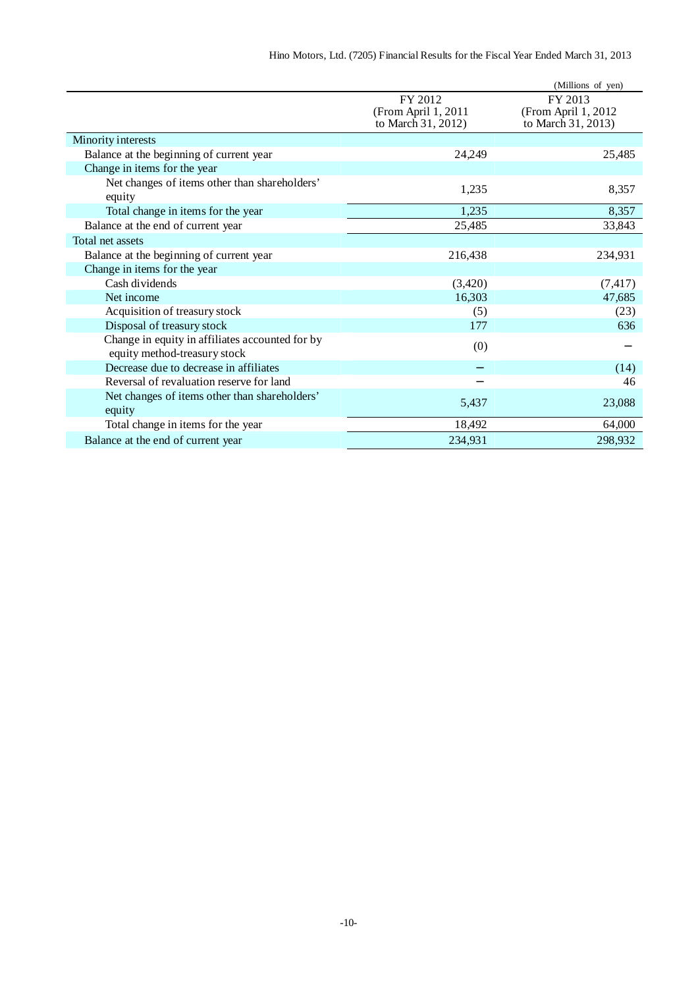|                                                                                 |                                                      | (Millions of yen)                                     |
|---------------------------------------------------------------------------------|------------------------------------------------------|-------------------------------------------------------|
|                                                                                 | FY 2012<br>(From April 1, 2011<br>to March 31, 2012) | FY 2013<br>(From April 1, 2012)<br>to March 31, 2013) |
| Minority interests                                                              |                                                      |                                                       |
| Balance at the beginning of current year                                        | 24,249                                               | 25,485                                                |
| Change in items for the year                                                    |                                                      |                                                       |
| Net changes of items other than shareholders'<br>equity                         | 1,235                                                | 8,357                                                 |
| Total change in items for the year                                              | 1,235                                                | 8,357                                                 |
| Balance at the end of current year                                              | 25,485                                               | 33,843                                                |
| Total net assets                                                                |                                                      |                                                       |
| Balance at the beginning of current year                                        | 216,438                                              | 234,931                                               |
| Change in items for the year                                                    |                                                      |                                                       |
| Cash dividends                                                                  | (3,420)                                              | (7, 417)                                              |
| Net income                                                                      | 16,303                                               | 47,685                                                |
| Acquisition of treasury stock                                                   | (5)                                                  | (23)                                                  |
| Disposal of treasury stock                                                      | 177                                                  | 636                                                   |
| Change in equity in affiliates accounted for by<br>equity method-treasury stock | (0)                                                  |                                                       |
| Decrease due to decrease in affiliates                                          |                                                      | (14)                                                  |
| Reversal of revaluation reserve for land                                        |                                                      | 46                                                    |
| Net changes of items other than shareholders'<br>equity                         | 5,437                                                | 23,088                                                |
| Total change in items for the year                                              | 18,492                                               | 64,000                                                |
| Balance at the end of current year                                              | 234,931                                              | 298,932                                               |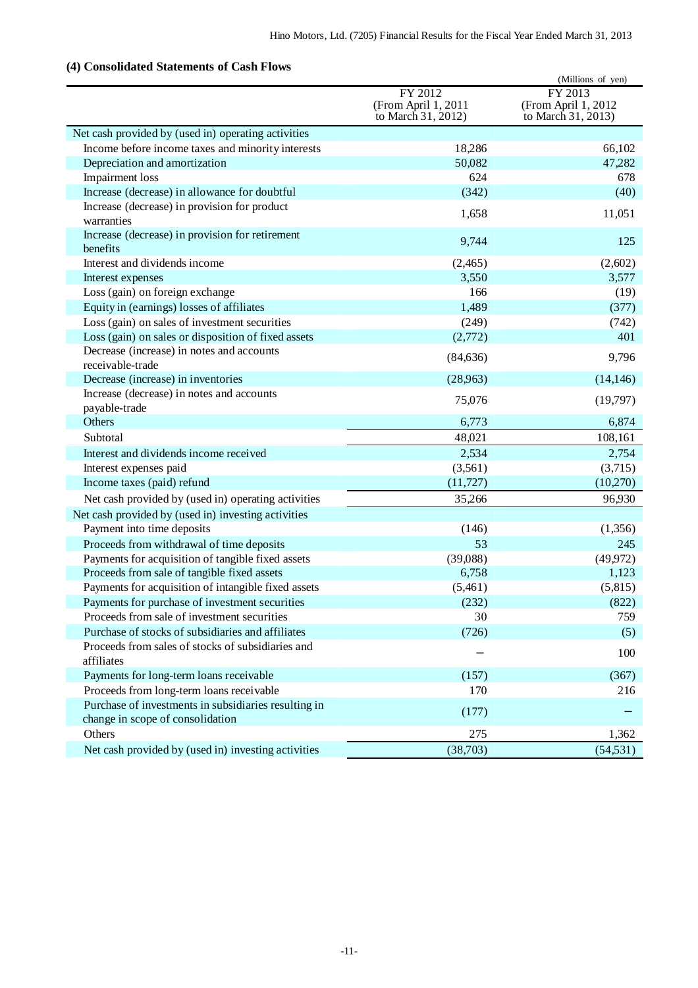## **(4) Consolidated Statements of Cash Flows**

| consonuancu biancinenus or cash r no                                                     |                                                      | (Millions of yen)                                    |
|------------------------------------------------------------------------------------------|------------------------------------------------------|------------------------------------------------------|
|                                                                                          | FY 2012<br>(From April 1, 2011<br>to March 31, 2012) | FY 2013<br>(From April 1, 2012<br>to March 31, 2013) |
| Net cash provided by (used in) operating activities                                      |                                                      |                                                      |
| Income before income taxes and minority interests                                        | 18,286                                               | 66,102                                               |
| Depreciation and amortization                                                            | 50,082                                               | 47,282                                               |
| Impairment loss                                                                          | 624                                                  | 678                                                  |
| Increase (decrease) in allowance for doubtful                                            | (342)                                                | (40)                                                 |
| Increase (decrease) in provision for product                                             | 1,658                                                | 11,051                                               |
| warranties                                                                               |                                                      |                                                      |
| Increase (decrease) in provision for retirement<br>benefits                              | 9,744                                                | 125                                                  |
| Interest and dividends income                                                            | (2,465)                                              | (2,602)                                              |
| Interest expenses                                                                        | 3,550                                                | 3,577                                                |
| Loss (gain) on foreign exchange                                                          | 166                                                  | (19)                                                 |
| Equity in (earnings) losses of affiliates                                                | 1,489                                                | (377)                                                |
| Loss (gain) on sales of investment securities                                            | (249)                                                | (742)                                                |
| Loss (gain) on sales or disposition of fixed assets                                      | (2,772)                                              | 401                                                  |
| Decrease (increase) in notes and accounts<br>receivable-trade                            | (84, 636)                                            | 9,796                                                |
| Decrease (increase) in inventories                                                       | (28,963)                                             | (14, 146)                                            |
| Increase (decrease) in notes and accounts<br>payable-trade                               | 75,076                                               | (19,797)                                             |
| Others                                                                                   | 6,773                                                | 6,874                                                |
| Subtotal                                                                                 | 48,021                                               | 108,161                                              |
| Interest and dividends income received                                                   | 2,534                                                | 2,754                                                |
| Interest expenses paid                                                                   | (3,561)                                              | (3,715)                                              |
| Income taxes (paid) refund                                                               | (11, 727)                                            | (10,270)                                             |
| Net cash provided by (used in) operating activities                                      | 35,266                                               | 96,930                                               |
| Net cash provided by (used in) investing activities                                      |                                                      |                                                      |
| Payment into time deposits                                                               | (146)                                                | (1,356)                                              |
| Proceeds from withdrawal of time deposits                                                | 53                                                   | 245                                                  |
| Payments for acquisition of tangible fixed assets                                        | (39,088)                                             | (49, 972)                                            |
| Proceeds from sale of tangible fixed assets                                              | 6,758                                                | 1,123                                                |
| Payments for acquisition of intangible fixed assets                                      | (5,461)                                              | (5,815)                                              |
| Payments for purchase of investment securities                                           | (232)                                                | (822)                                                |
| Proceeds from sale of investment securities                                              | 30                                                   | 759                                                  |
| Purchase of stocks of subsidiaries and affiliates                                        | (726)                                                | (5)                                                  |
| Proceeds from sales of stocks of subsidiaries and<br>affiliates                          |                                                      | 100                                                  |
| Payments for long-term loans receivable                                                  | (157)                                                | (367)                                                |
| Proceeds from long-term loans receivable                                                 | 170                                                  | 216                                                  |
| Purchase of investments in subsidiaries resulting in<br>change in scope of consolidation | (177)                                                |                                                      |
| Others                                                                                   | 275                                                  | 1,362                                                |
| Net cash provided by (used in) investing activities                                      | (38,703)                                             | (54, 531)                                            |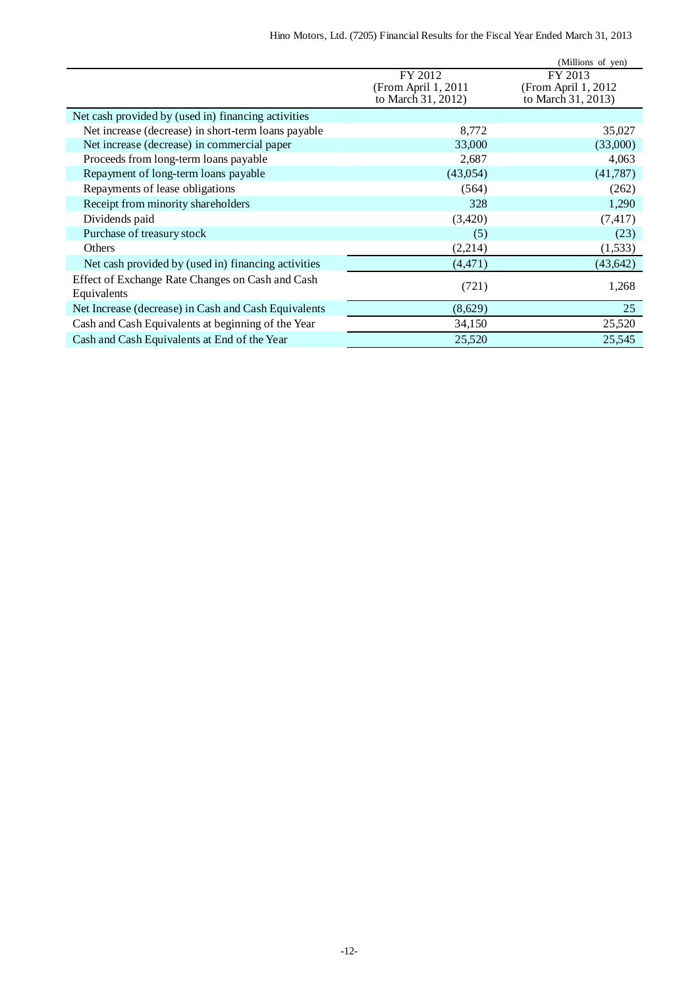|                                                                 |                                                      | (Millions of yen)                                     |
|-----------------------------------------------------------------|------------------------------------------------------|-------------------------------------------------------|
|                                                                 | FY 2012<br>(From April 1, 2011<br>to March 31, 2012) | FY 2013<br>(From April 1, 2012)<br>to March 31, 2013) |
|                                                                 |                                                      |                                                       |
| Net cash provided by (used in) financing activities             |                                                      |                                                       |
| Net increase (decrease) in short-term loans payable             | 8,772                                                | 35,027                                                |
| Net increase (decrease) in commercial paper                     | 33,000                                               | (33,000)                                              |
| Proceeds from long-term loans payable                           | 2,687                                                | 4,063                                                 |
| Repayment of long-term loans payable                            | (43,054)                                             | (41,787)                                              |
| Repayments of lease obligations                                 | (564)                                                | (262)                                                 |
| Receipt from minority shareholders                              | 328                                                  | 1,290                                                 |
| Dividends paid                                                  | (3,420)                                              | (7, 417)                                              |
| Purchase of treasury stock                                      | (5)                                                  | (23)                                                  |
| <b>Others</b>                                                   | (2,214)                                              | (1,533)                                               |
| Net cash provided by (used in) financing activities             | (4, 471)                                             | (43, 642)                                             |
| Effect of Exchange Rate Changes on Cash and Cash<br>Equivalents | (721)                                                | 1,268                                                 |
| Net Increase (decrease) in Cash and Cash Equivalents            | (8,629)                                              | 25                                                    |
| Cash and Cash Equivalents at beginning of the Year              | 34,150                                               | 25,520                                                |
| Cash and Cash Equivalents at End of the Year                    | 25,520                                               | 25,545                                                |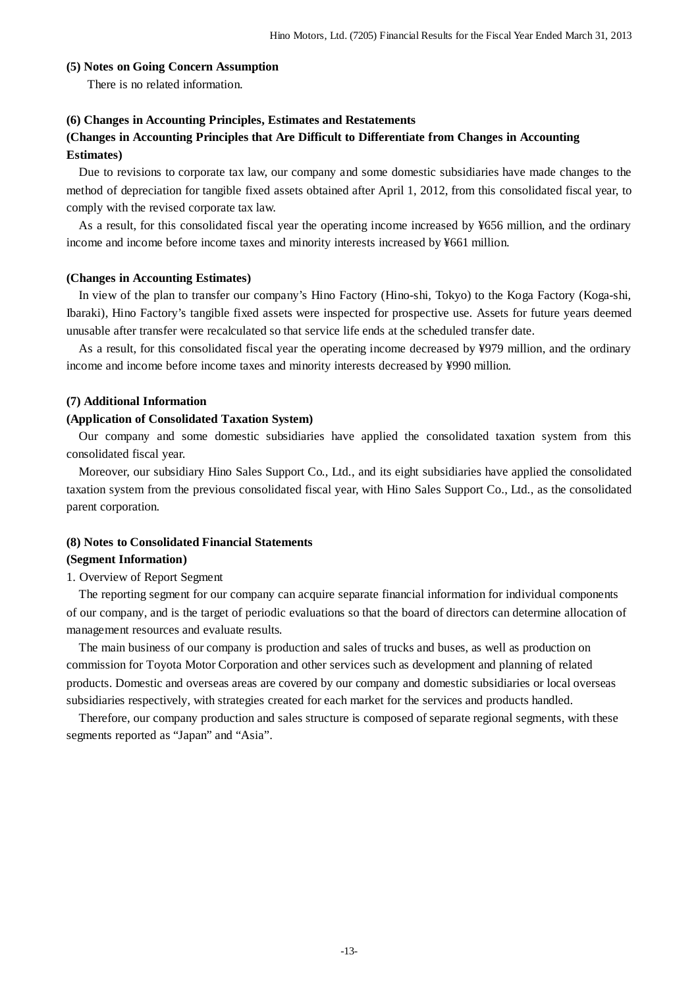#### **(5) Notes on Going Concern Assumption**

There is no related information.

#### **(6) Changes in Accounting Principles, Estimates and Restatements**

### **(Changes in Accounting Principles that Are Difficult to Differentiate from Changes in Accounting Estimates)**

Due to revisions to corporate tax law, our company and some domestic subsidiaries have made changes to the method of depreciation for tangible fixed assets obtained after April 1, 2012, from this consolidated fiscal year, to comply with the revised corporate tax law.

As a result, for this consolidated fiscal year the operating income increased by ¥656 million, and the ordinary income and income before income taxes and minority interests increased by ¥661 million.

#### **(Changes in Accounting Estimates)**

In view of the plan to transfer our company's Hino Factory (Hino-shi, Tokyo) to the Koga Factory (Koga-shi, Ibaraki), Hino Factory's tangible fixed assets were inspected for prospective use. Assets for future years deemed unusable after transfer were recalculated so that service life ends at the scheduled transfer date.

As a result, for this consolidated fiscal year the operating income decreased by ¥979 million, and the ordinary income and income before income taxes and minority interests decreased by ¥990 million.

#### **(7) Additional Information**

#### **(Application of Consolidated Taxation System)**

Our company and some domestic subsidiaries have applied the consolidated taxation system from this consolidated fiscal year.

Moreover, our subsidiary Hino Sales Support Co., Ltd., and its eight subsidiaries have applied the consolidated taxation system from the previous consolidated fiscal year, with Hino Sales Support Co., Ltd., as the consolidated parent corporation.

## **(8) Notes to Consolidated Financial Statements**

### **(Segment Information)**

#### 1. Overview of Report Segment

The reporting segment for our company can acquire separate financial information for individual components of our company, and is the target of periodic evaluations so that the board of directors can determine allocation of management resources and evaluate results.

The main business of our company is production and sales of trucks and buses, as well as production on commission for Toyota Motor Corporation and other services such as development and planning of related products. Domestic and overseas areas are covered by our company and domestic subsidiaries or local overseas subsidiaries respectively, with strategies created for each market for the services and products handled.

Therefore, our company production and sales structure is composed of separate regional segments, with these segments reported as "Japan" and "Asia".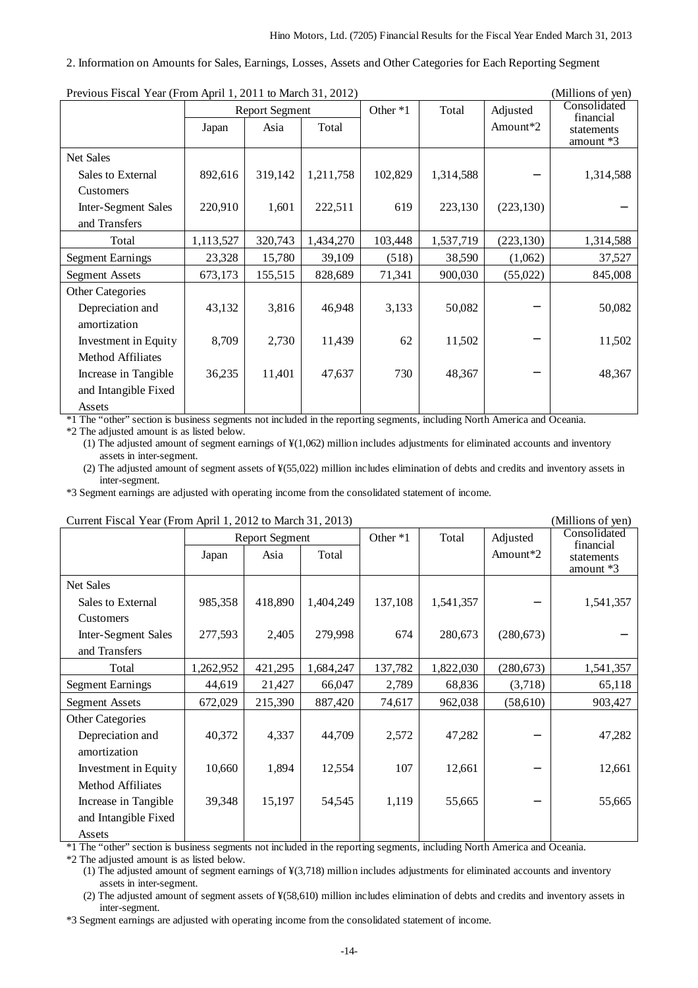#### 2. Information on Amounts for Sales, Earnings, Losses, Assets and Other Categories for Each Reporting Segment

| Previous Fiscal rear (From April 1, 2011 to March 31, 2012) |           |                       |           |          |           | (Millions of yen)    |                           |
|-------------------------------------------------------------|-----------|-----------------------|-----------|----------|-----------|----------------------|---------------------------|
|                                                             |           | <b>Report Segment</b> |           | Other *1 | Total     | Adjusted             | Consolidated<br>financial |
|                                                             | Japan     | Asia                  | Total     |          |           | Amount <sup>*2</sup> | statements                |
|                                                             |           |                       |           |          |           |                      | amount $*3$               |
| <b>Net Sales</b>                                            |           |                       |           |          |           |                      |                           |
| Sales to External                                           | 892,616   | 319,142               | 1,211,758 | 102,829  | 1,314,588 |                      | 1,314,588                 |
| Customers                                                   |           |                       |           |          |           |                      |                           |
| Inter-Segment Sales                                         | 220,910   | 1,601                 | 222,511   | 619      | 223,130   | (223, 130)           |                           |
| and Transfers                                               |           |                       |           |          |           |                      |                           |
| Total                                                       | 1,113,527 | 320,743               | 1,434,270 | 103,448  | 1,537,719 | (223, 130)           | 1,314,588                 |
| <b>Segment Earnings</b>                                     | 23,328    | 15,780                | 39,109    | (518)    | 38,590    | (1,062)              | 37,527                    |
| <b>Segment Assets</b>                                       | 673,173   | 155,515               | 828,689   | 71,341   | 900,030   | (55,022)             | 845,008                   |
| <b>Other Categories</b>                                     |           |                       |           |          |           |                      |                           |
| Depreciation and                                            | 43,132    | 3,816                 | 46,948    | 3,133    | 50,082    |                      | 50,082                    |
| amortization                                                |           |                       |           |          |           |                      |                           |
| Investment in Equity                                        | 8,709     | 2,730                 | 11,439    | 62       | 11,502    |                      | 11,502                    |
| Method Affiliates                                           |           |                       |           |          |           |                      |                           |
| Increase in Tangible                                        | 36,235    | 11,401                | 47,637    | 730      | 48,367    |                      | 48,367                    |
| and Intangible Fixed                                        |           |                       |           |          |           |                      |                           |
| Assets                                                      |           |                       |           |          |           |                      |                           |

 $P_{\text{redu}}$   $P_{\text{redu}}$   $V_{\text{cav}}$   $P_{\text{rav}}$   $A_{\text{rul}}$  1, 2011 to  $M_{\text{cub}}$  21, 2012) (Millions of yen)

\*1 The "other" section is business segments not included in the reporting segments, including North America and Oceania.

\*2 The adjusted amount is as listed below.

(1) The adjusted amount of segment earnings of ¥(1,062) million includes adjustments for eliminated accounts and inventory assets in inter-segment.

(2) The adjusted amount of segment assets of ¥(55,022) million includes elimination of debts and credits and inventory assets in inter-segment.

\*3 Segment earnings are adjusted with operating income from the consolidated statement of income.

| Current Fiscal Year (From April 1, 2012 to March 31, 2013) |           |                       |           |          | (Millions of yen) |                      |                           |
|------------------------------------------------------------|-----------|-----------------------|-----------|----------|-------------------|----------------------|---------------------------|
|                                                            |           | <b>Report Segment</b> |           | Other *1 | Total             | Adjusted             | Consolidated<br>financial |
|                                                            | Japan     | Asia                  | Total     |          |                   | Amount <sup>*2</sup> | statements                |
|                                                            |           |                       |           |          |                   |                      | amount *3                 |
| Net Sales                                                  |           |                       |           |          |                   |                      |                           |
| Sales to External                                          | 985,358   | 418,890               | 1,404,249 | 137,108  | 1,541,357         |                      | 1,541,357                 |
| Customers                                                  |           |                       |           |          |                   |                      |                           |
| Inter-Segment Sales                                        | 277,593   | 2,405                 | 279,998   | 674      | 280,673           | (280, 673)           |                           |
| and Transfers                                              |           |                       |           |          |                   |                      |                           |
| Total                                                      | 1,262,952 | 421,295               | 1,684,247 | 137,782  | 1,822,030         | (280, 673)           | 1,541,357                 |
| <b>Segment Earnings</b>                                    | 44,619    | 21,427                | 66,047    | 2,789    | 68,836            | (3,718)              | 65,118                    |
| <b>Segment Assets</b>                                      | 672,029   | 215,390               | 887,420   | 74,617   | 962,038           | (58,610)             | 903,427                   |
| <b>Other Categories</b>                                    |           |                       |           |          |                   |                      |                           |
| Depreciation and                                           | 40,372    | 4,337                 | 44,709    | 2,572    | 47,282            |                      | 47,282                    |
| amortization                                               |           |                       |           |          |                   |                      |                           |
| Investment in Equity                                       | 10,660    | 1,894                 | 12,554    | 107      | 12,661            |                      | 12,661                    |
| Method Affiliates                                          |           |                       |           |          |                   |                      |                           |
| Increase in Tangible                                       | 39,348    | 15,197                | 54,545    | 1,119    | 55,665            |                      | 55,665                    |
| and Intangible Fixed                                       |           |                       |           |          |                   |                      |                           |
| Assets                                                     |           |                       |           |          |                   |                      |                           |

 $\text{C}_1^{\text{C}_2}$  Current Fiscal Year (From April 1, 2012 to March 31, 2012)

\*1 The "other" section is business segments not included in the reporting segments, including North America and Oceania.

\*2 The adjusted amount is as listed below.

(1) The adjusted amount of segment earnings of ¥(3,718) million includes adjustments for eliminated accounts and inventory assets in inter-segment.

(2) The adjusted amount of segment assets of ¥(58,610) million includes elimination of debts and credits and inventory assets in inter-segment.

\*3 Segment earnings are adjusted with operating income from the consolidated statement of income.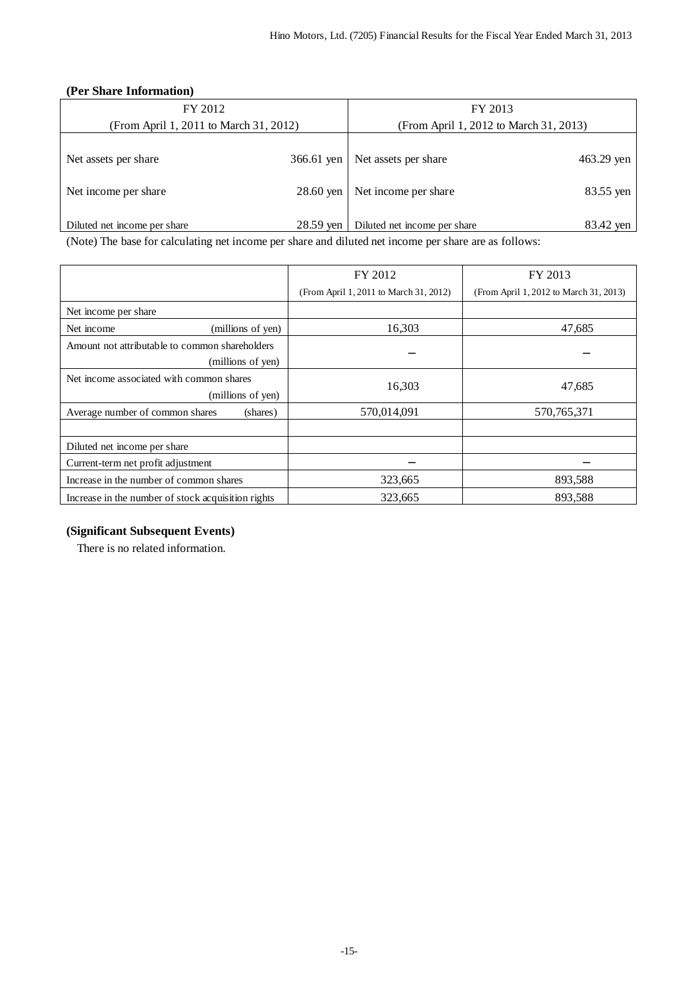### **(Per Share Information)**

| FY 2012                                                                                                       |             | FY 2013                                |            |  |
|---------------------------------------------------------------------------------------------------------------|-------------|----------------------------------------|------------|--|
| (From April 1, 2011 to March 31, 2012)                                                                        |             | (From April 1, 2012 to March 31, 2013) |            |  |
|                                                                                                               |             |                                        |            |  |
| Net assets per share                                                                                          | 366.61 yen  | Net assets per share                   | 463.29 yen |  |
|                                                                                                               |             |                                        |            |  |
| Net income per share                                                                                          | $28.60$ ven | Net income per share                   | 83.55 yen  |  |
|                                                                                                               |             |                                        |            |  |
| Diluted net income per share                                                                                  | 28.59 yen   | Diluted net income per share           | 83.42 yen  |  |
| (Mata) The base for actual strong interests and show and dilated active and shown are above an actual follows |             |                                        |            |  |

(Note) The base for calculating net income per share and diluted net income per share are as follows:

|                                                                     | FY 2012                                | FY 2013                                |
|---------------------------------------------------------------------|----------------------------------------|----------------------------------------|
|                                                                     | (From April 1, 2011 to March 31, 2012) | (From April 1, 2012 to March 31, 2013) |
| Net income per share                                                |                                        |                                        |
| (millions of yen)<br>Net income                                     | 16,303                                 | 47,685                                 |
| Amount not attributable to common shareholders<br>(millions of yen) |                                        |                                        |
| Net income associated with common shares<br>(millions of yen)       | 16,303                                 | 47,685                                 |
| Average number of common shares<br>(shares)                         | 570,014,091                            | 570, 765, 371                          |
| Diluted net income per share                                        |                                        |                                        |
| Current-term net profit adjustment                                  |                                        |                                        |
| Increase in the number of common shares                             | 323,665                                | 893,588                                |
| Increase in the number of stock acquisition rights                  | 323,665                                | 893,588                                |

## **(Significant Subsequent Events)**

There is no related information.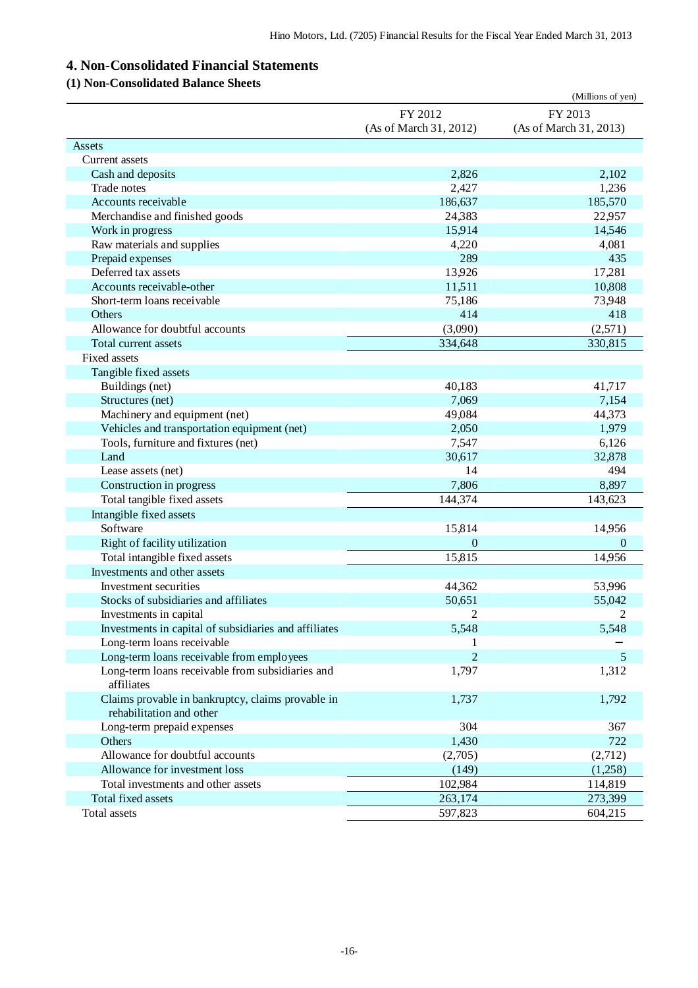# **4. Non-Consolidated Financial Statements**

### **(1) Non-Consolidated Balance Sheets**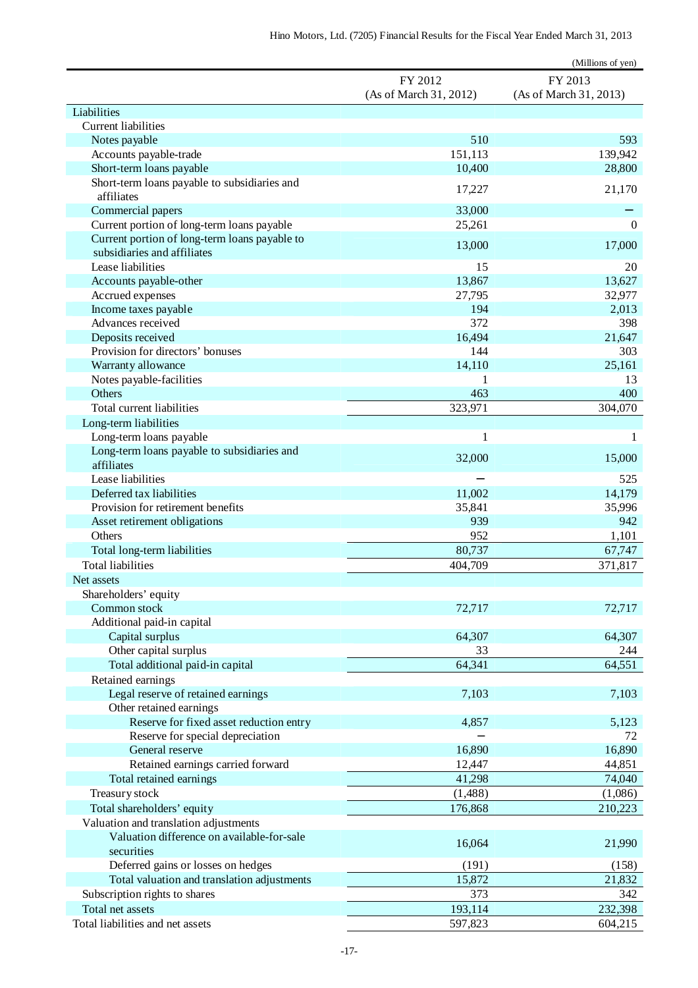|                                               |                                   | (Millions of yen)                 |
|-----------------------------------------------|-----------------------------------|-----------------------------------|
|                                               | FY 2012<br>(As of March 31, 2012) | FY 2013<br>(As of March 31, 2013) |
| Liabilities                                   |                                   |                                   |
| <b>Current liabilities</b>                    |                                   |                                   |
| Notes payable                                 | 510                               | 593                               |
| Accounts payable-trade                        | 151,113                           | 139,942                           |
| Short-term loans payable                      | 10,400                            | 28,800                            |
| Short-term loans payable to subsidiaries and  | 17,227                            | 21,170                            |
| affiliates                                    |                                   |                                   |
| Commercial papers                             | 33,000                            |                                   |
| Current portion of long-term loans payable    | 25,261                            | $\boldsymbol{0}$                  |
| Current portion of long-term loans payable to | 13,000                            | 17,000                            |
| subsidiaries and affiliates                   |                                   |                                   |
| Lease liabilities                             | 15                                | 20                                |
| Accounts payable-other                        | 13,867                            | 13,627                            |
| Accrued expenses<br>Income taxes payable      | 27,795<br>194                     | 32,977                            |
| Advances received                             | 372                               | 2,013<br>398                      |
| Deposits received                             | 16,494                            | 21,647                            |
| Provision for directors' bonuses              | 144                               | 303                               |
| Warranty allowance                            | 14,110                            | 25,161                            |
| Notes payable-facilities                      | 1                                 | 13                                |
| Others                                        | 463                               | 400                               |
| Total current liabilities                     | 323,971                           | 304,070                           |
| Long-term liabilities                         |                                   |                                   |
| Long-term loans payable                       | 1                                 | 1                                 |
| Long-term loans payable to subsidiaries and   |                                   |                                   |
| affiliates                                    | 32,000                            | 15,000                            |
| Lease liabilities                             |                                   | 525                               |
| Deferred tax liabilities                      | 11,002                            | 14,179                            |
| Provision for retirement benefits             | 35,841                            | 35,996                            |
| Asset retirement obligations                  | 939                               | 942                               |
| Others                                        | 952                               | 1,101                             |
| Total long-term liabilities                   | 80,737                            | 67,747                            |
| <b>Total liabilities</b>                      | 404,709                           | 371,817                           |
| Net assets                                    |                                   |                                   |
| Shareholders' equity                          |                                   |                                   |
| Common stock                                  | 72,717                            | 72,717                            |
| Additional paid-in capital                    |                                   |                                   |
| Capital surplus                               | 64,307                            | 64,307                            |
| Other capital surplus                         | 33                                | 244                               |
| Total additional paid-in capital              | 64,341                            | 64,551                            |
| Retained earnings                             |                                   |                                   |
| Legal reserve of retained earnings            | 7,103                             | 7,103                             |
| Other retained earnings                       |                                   |                                   |
| Reserve for fixed asset reduction entry       | 4,857                             | 5,123                             |
| Reserve for special depreciation              |                                   | 72                                |
| General reserve                               | 16,890                            | 16,890                            |
| Retained earnings carried forward             | 12,447                            | 44,851                            |
| Total retained earnings                       | 41,298                            | 74,040                            |
| Treasury stock                                | (1,488)                           | (1,086)                           |
| Total shareholders' equity                    | 176,868                           | 210,223                           |
| Valuation and translation adjustments         |                                   |                                   |
| Valuation difference on available-for-sale    | 16,064                            | 21,990                            |
| securities                                    |                                   |                                   |
| Deferred gains or losses on hedges            | (191)                             | (158)                             |
| Total valuation and translation adjustments   | 15,872                            | 21,832                            |
| Subscription rights to shares                 | 373                               | 342                               |
| Total net assets                              | 193,114                           | 232,398                           |
| Total liabilities and net assets              | 597,823                           | 604,215                           |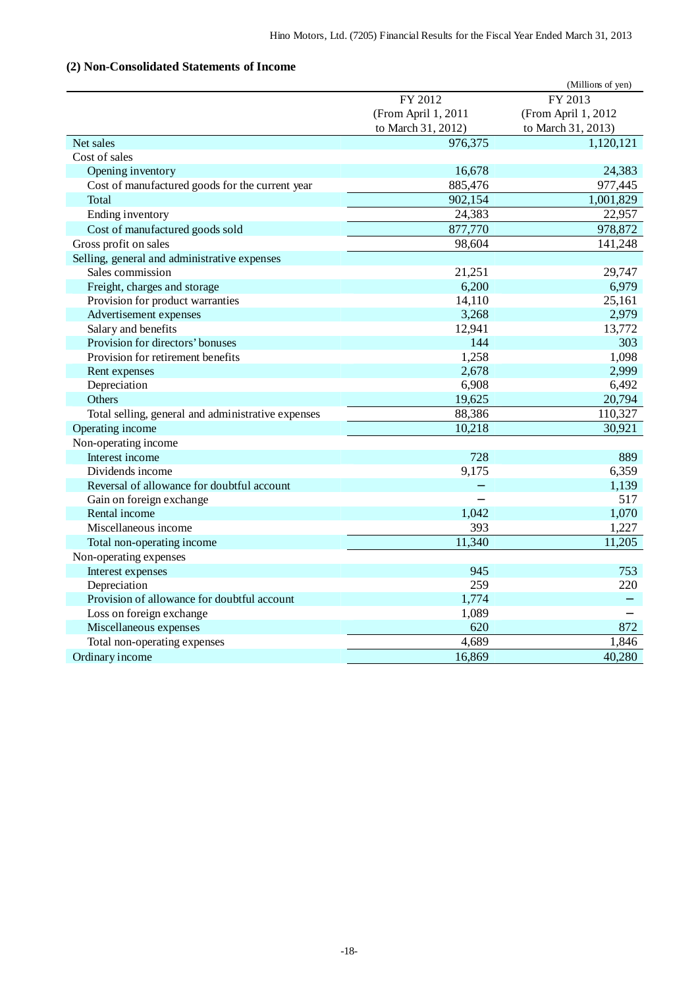## **(2) Non-Consolidated Statements of Income**

|                                                    |                     | (Millions of yen)   |
|----------------------------------------------------|---------------------|---------------------|
|                                                    | FY 2012             | FY 2013             |
|                                                    | (From April 1, 2011 | (From April 1, 2012 |
|                                                    | to March 31, 2012)  | to March 31, 2013)  |
| Net sales                                          | 976,375             | 1,120,121           |
| Cost of sales                                      |                     |                     |
| Opening inventory                                  | 16,678              | 24,383              |
| Cost of manufactured goods for the current year    | 885,476             | 977,445             |
| Total                                              | 902,154             | 1,001,829           |
| Ending inventory                                   | 24,383              | 22,957              |
| Cost of manufactured goods sold                    | 877,770             | 978,872             |
| Gross profit on sales                              | 98,604              | 141,248             |
| Selling, general and administrative expenses       |                     |                     |
| Sales commission                                   | 21,251              | 29,747              |
| Freight, charges and storage                       | 6,200               | 6,979               |
| Provision for product warranties                   | 14,110              | 25,161              |
| Advertisement expenses                             | 3,268               | 2,979               |
| Salary and benefits                                | 12,941              | 13,772              |
| Provision for directors' bonuses                   | 144                 | 303                 |
| Provision for retirement benefits                  | 1,258               | 1,098               |
| Rent expenses                                      | 2,678               | 2,999               |
| Depreciation                                       | 6,908               | 6,492               |
| Others                                             | 19,625              | 20,794              |
| Total selling, general and administrative expenses | 88,386              | 110,327             |
| Operating income                                   | 10,218              | 30,921              |
| Non-operating income                               |                     |                     |
| Interest income                                    | 728                 | 889                 |
| Dividends income                                   | 9,175               | 6,359               |
| Reversal of allowance for doubtful account         |                     | 1,139               |
| Gain on foreign exchange                           |                     | 517                 |
| Rental income                                      | 1,042               | 1,070               |
| Miscellaneous income                               | 393                 | 1,227               |
| Total non-operating income                         | 11,340              | 11,205              |
| Non-operating expenses                             |                     |                     |
| Interest expenses                                  | 945                 | 753                 |
| Depreciation                                       | 259                 | 220                 |
| Provision of allowance for doubtful account        | 1,774               |                     |
| Loss on foreign exchange                           | 1,089               |                     |
| Miscellaneous expenses                             | 620                 | 872                 |
| Total non-operating expenses                       | 4,689               | 1,846               |
| Ordinary income                                    | 16,869              | 40,280              |
|                                                    |                     |                     |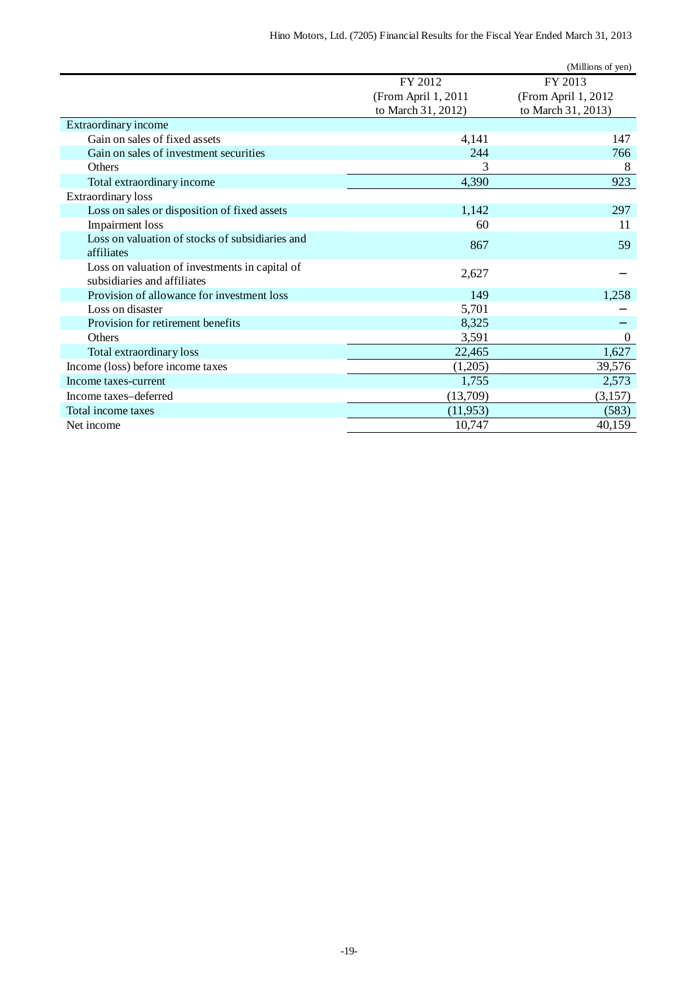|                                                                               |                     | (Millions of yen)   |
|-------------------------------------------------------------------------------|---------------------|---------------------|
|                                                                               | FY 2012             | FY 2013             |
|                                                                               | (From April 1, 2011 | (From April 1, 2012 |
|                                                                               | to March 31, 2012)  | to March 31, 2013)  |
| Extraordinary income                                                          |                     |                     |
| Gain on sales of fixed assets                                                 | 4,141               | 147                 |
| Gain on sales of investment securities                                        | 244                 | 766                 |
| <b>Others</b>                                                                 | 3                   | 8                   |
| Total extraordinary income                                                    | 4,390               | 923                 |
| <b>Extraordinary</b> loss                                                     |                     |                     |
| Loss on sales or disposition of fixed assets                                  | 1,142               | 297                 |
| <b>Impairment</b> loss                                                        | 60                  | 11                  |
| Loss on valuation of stocks of subsidiaries and                               | 867                 | 59                  |
| affiliates                                                                    |                     |                     |
| Loss on valuation of investments in capital of<br>subsidiaries and affiliates | 2,627               |                     |
| Provision of allowance for investment loss                                    | 149                 | 1,258               |
| Loss on disaster                                                              | 5,701               |                     |
| Provision for retirement benefits                                             | 8,325               |                     |
| <b>Others</b>                                                                 | 3,591               | $\boldsymbol{0}$    |
| Total extraordinary loss                                                      | 22,465              | 1,627               |
| Income (loss) before income taxes                                             | (1,205)             | 39,576              |
| Income taxes-current                                                          | 1,755               | 2,573               |
| Income taxes-deferred                                                         | (13,709)            | (3,157)             |
| Total income taxes                                                            | (11, 953)           | (583)               |
| Net income                                                                    | 10,747              | 40,159              |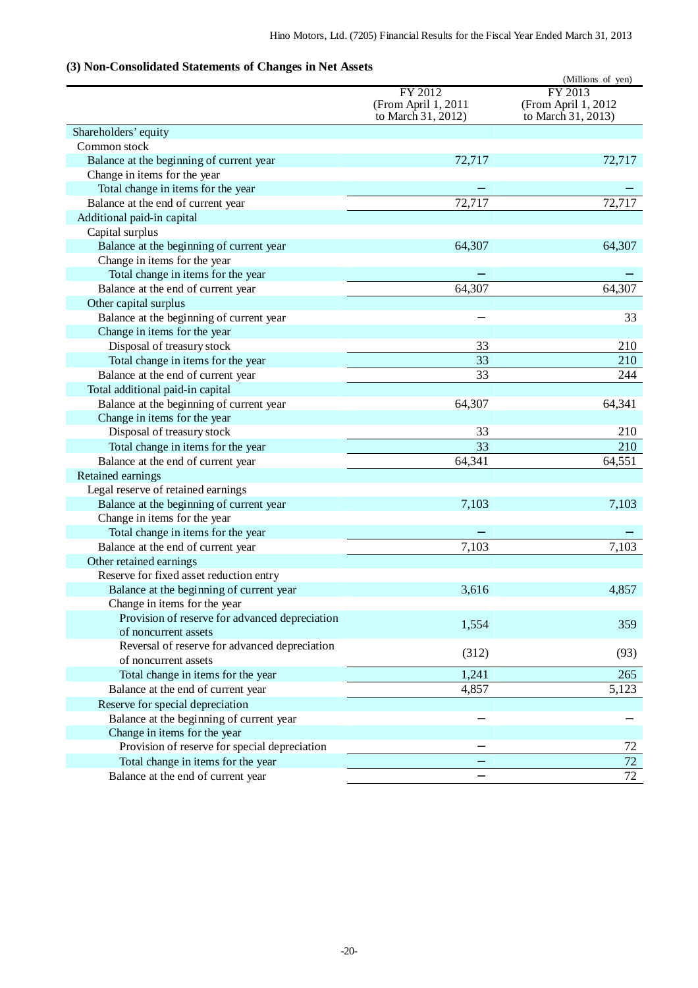## **(3) Non-Consolidated Statements of Changes in Net Assets**

|                                                |                     | (Millions of yen)                         |
|------------------------------------------------|---------------------|-------------------------------------------|
|                                                | FY 2012             | FY 2013                                   |
|                                                | (From April 1, 2011 | (From April 1, 2012<br>to March 31, 2013) |
|                                                | to March 31, 2012)  |                                           |
| Shareholders' equity                           |                     |                                           |
| Common stock                                   |                     |                                           |
| Balance at the beginning of current year       | 72,717              | 72,717                                    |
| Change in items for the year                   |                     |                                           |
| Total change in items for the year             |                     |                                           |
| Balance at the end of current year             | 72,717              | 72,717                                    |
| Additional paid-in capital                     |                     |                                           |
| Capital surplus                                |                     |                                           |
| Balance at the beginning of current year       | 64,307              | 64,307                                    |
| Change in items for the year                   |                     |                                           |
| Total change in items for the year             |                     |                                           |
| Balance at the end of current year             | 64,307              | 64,307                                    |
| Other capital surplus                          |                     |                                           |
| Balance at the beginning of current year       |                     | 33                                        |
| Change in items for the year                   |                     |                                           |
| Disposal of treasury stock                     | 33                  | 210                                       |
| Total change in items for the year             | 33                  | 210                                       |
| Balance at the end of current year             | 33                  | 244                                       |
| Total additional paid-in capital               |                     |                                           |
| Balance at the beginning of current year       | 64,307              | 64,341                                    |
| Change in items for the year                   |                     |                                           |
| Disposal of treasury stock                     | 33                  | 210                                       |
| Total change in items for the year             | $\overline{33}$     | 210                                       |
| Balance at the end of current year             | 64,341              | 64,551                                    |
| Retained earnings                              |                     |                                           |
| Legal reserve of retained earnings             |                     |                                           |
| Balance at the beginning of current year       | 7,103               | 7,103                                     |
| Change in items for the year                   |                     |                                           |
| Total change in items for the year             |                     |                                           |
| Balance at the end of current year             | 7,103               | 7,103                                     |
| Other retained earnings                        |                     |                                           |
| Reserve for fixed asset reduction entry        |                     |                                           |
| Balance at the beginning of current year       | 3,616               | 4,857                                     |
| Change in items for the year                   |                     |                                           |
| Provision of reserve for advanced depreciation |                     | 359                                       |
| of noncurrent assets                           | 1,554               |                                           |
| Reversal of reserve for advanced depreciation  |                     |                                           |
| of noncurrent assets                           | (312)               | (93)                                      |
| Total change in items for the year             | 1,241               | 265                                       |
| Balance at the end of current year             | 4,857               | 5,123                                     |
| Reserve for special depreciation               |                     |                                           |
| Balance at the beginning of current year       |                     |                                           |
| Change in items for the year                   |                     |                                           |
| Provision of reserve for special depreciation  |                     | 72                                        |
| Total change in items for the year             |                     | $\overline{72}$                           |
| Balance at the end of current year             |                     | 72                                        |
|                                                |                     |                                           |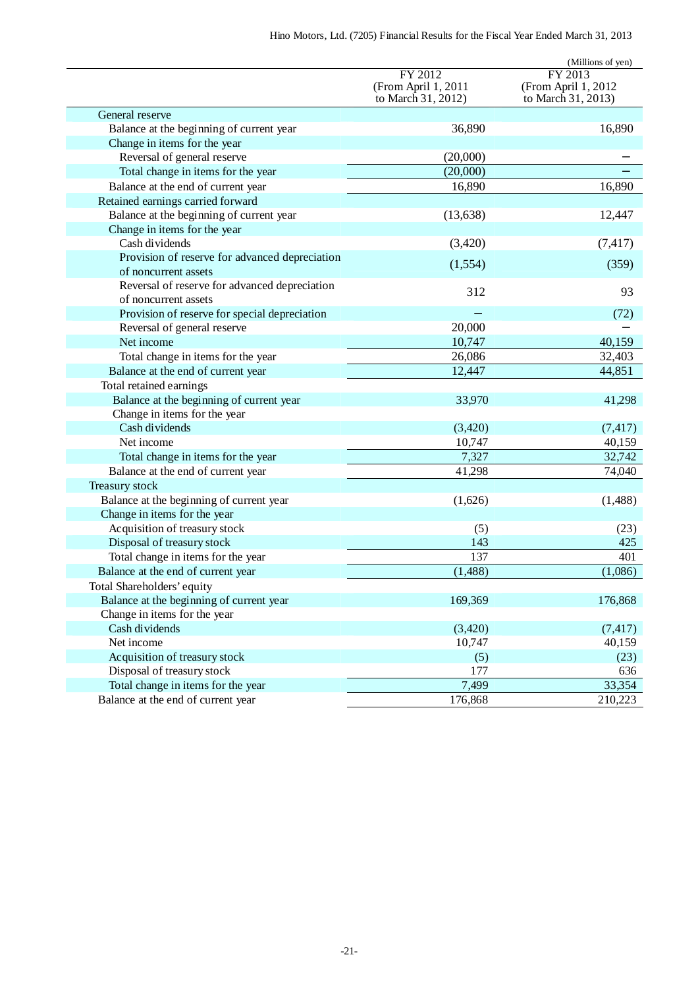|                                                |                                                      | (Millions of yen)                                    |
|------------------------------------------------|------------------------------------------------------|------------------------------------------------------|
|                                                | FY 2012<br>(From April 1, 2011<br>to March 31, 2012) | FY 2013<br>(From April 1, 2012<br>to March 31, 2013) |
| General reserve                                |                                                      |                                                      |
| Balance at the beginning of current year       | 36,890                                               | 16,890                                               |
| Change in items for the year                   |                                                      |                                                      |
| Reversal of general reserve                    | (20,000)                                             |                                                      |
| Total change in items for the year             | (20,000)                                             |                                                      |
| Balance at the end of current year             | 16,890                                               | 16,890                                               |
| Retained earnings carried forward              |                                                      |                                                      |
| Balance at the beginning of current year       | (13, 638)                                            | 12,447                                               |
| Change in items for the year                   |                                                      |                                                      |
| Cash dividends                                 | (3,420)                                              | (7, 417)                                             |
| Provision of reserve for advanced depreciation |                                                      |                                                      |
| of noncurrent assets                           | (1,554)                                              | (359)                                                |
| Reversal of reserve for advanced depreciation  | 312                                                  | 93                                                   |
| of noncurrent assets                           |                                                      |                                                      |
| Provision of reserve for special depreciation  |                                                      | (72)                                                 |
| Reversal of general reserve                    | 20,000                                               |                                                      |
| Net income                                     | 10,747                                               | 40,159                                               |
| Total change in items for the year             | 26,086                                               | 32,403                                               |
| Balance at the end of current year             | 12,447                                               | 44,851                                               |
| Total retained earnings                        |                                                      |                                                      |
| Balance at the beginning of current year       | 33,970                                               | 41,298                                               |
| Change in items for the year                   |                                                      |                                                      |
| Cash dividends                                 | (3,420)                                              | (7, 417)                                             |
| Net income                                     | 10,747                                               | 40,159                                               |
| Total change in items for the year             | 7,327                                                | 32,742                                               |
| Balance at the end of current year             | 41,298                                               | 74,040                                               |
| Treasury stock                                 |                                                      |                                                      |
| Balance at the beginning of current year       | (1,626)                                              | (1,488)                                              |
| Change in items for the year                   |                                                      |                                                      |
| Acquisition of treasury stock                  | (5)                                                  | (23)                                                 |
| Disposal of treasury stock                     | 143                                                  | 425                                                  |
| Total change in items for the year             | 137                                                  | 401                                                  |
| Balance at the end of current year             | (1,488)                                              | (1,086)                                              |
| Total Shareholders' equity                     |                                                      |                                                      |
| Balance at the beginning of current year       | 169,369                                              | 176,868                                              |
| Change in items for the year                   |                                                      |                                                      |
| Cash dividends                                 | (3,420)                                              | (7, 417)                                             |
| Net income                                     | 10,747                                               | 40,159                                               |
| Acquisition of treasury stock                  | (5)                                                  | (23)                                                 |
| Disposal of treasury stock                     | 177                                                  | 636                                                  |
| Total change in items for the year             | 7,499                                                | 33,354                                               |
| Balance at the end of current year             | 176,868                                              | 210,223                                              |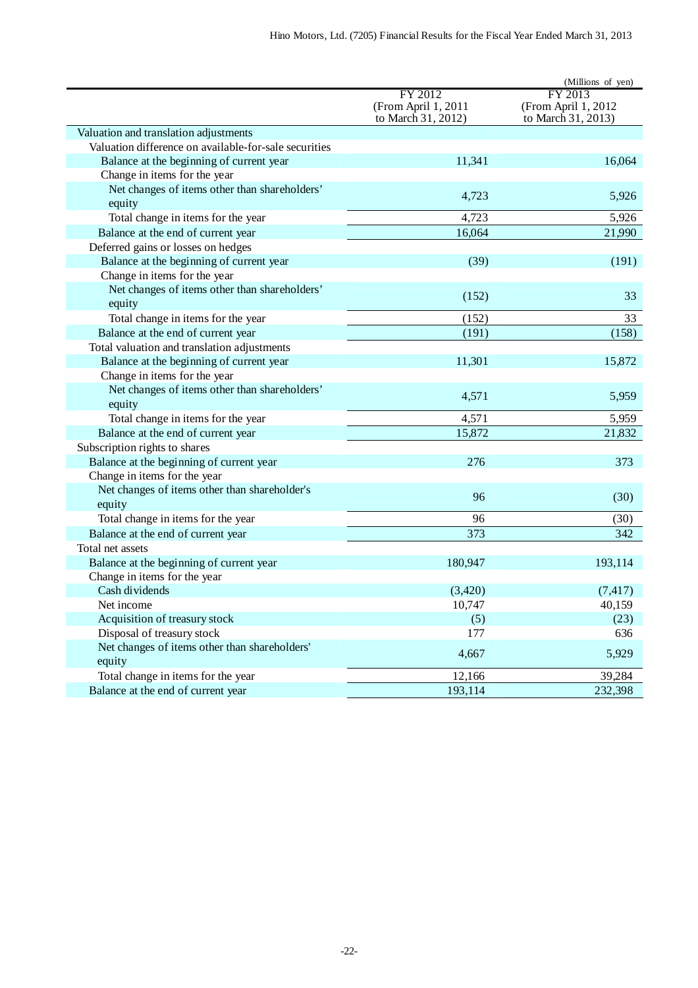|                                                                                                |                                           | (Millions of yen)                         |
|------------------------------------------------------------------------------------------------|-------------------------------------------|-------------------------------------------|
|                                                                                                | FY 2012                                   | FY 2013                                   |
|                                                                                                | (From April 1, 2011<br>to March 31, 2012) | (From April 1, 2012<br>to March 31, 2013) |
|                                                                                                |                                           |                                           |
| Valuation and translation adjustments<br>Valuation difference on available-for-sale securities |                                           |                                           |
|                                                                                                | 11,341                                    | 16,064                                    |
| Balance at the beginning of current year                                                       |                                           |                                           |
| Change in items for the year                                                                   |                                           |                                           |
| Net changes of items other than shareholders'<br>equity                                        | 4,723                                     | 5,926                                     |
| Total change in items for the year                                                             | 4,723                                     | 5,926                                     |
| Balance at the end of current year                                                             | 16,064                                    | 21,990                                    |
| Deferred gains or losses on hedges                                                             |                                           |                                           |
| Balance at the beginning of current year                                                       | (39)                                      | (191)                                     |
| Change in items for the year                                                                   |                                           |                                           |
| Net changes of items other than shareholders'                                                  |                                           |                                           |
| equity                                                                                         | (152)                                     | 33                                        |
| Total change in items for the year                                                             | (152)                                     | 33                                        |
| Balance at the end of current year                                                             | (191)                                     | (158)                                     |
| Total valuation and translation adjustments                                                    |                                           |                                           |
| Balance at the beginning of current year                                                       | 11,301                                    | 15,872                                    |
| Change in items for the year                                                                   |                                           |                                           |
| Net changes of items other than shareholders'                                                  |                                           |                                           |
| equity                                                                                         | 4,571                                     | 5,959                                     |
| Total change in items for the year                                                             | 4,571                                     | 5,959                                     |
| Balance at the end of current year                                                             | 15,872                                    | 21,832                                    |
| Subscription rights to shares                                                                  |                                           |                                           |
| Balance at the beginning of current year                                                       | 276                                       | 373                                       |
| Change in items for the year                                                                   |                                           |                                           |
| Net changes of items other than shareholder's                                                  |                                           |                                           |
| equity                                                                                         | 96                                        | (30)                                      |
| Total change in items for the year                                                             | 96                                        | (30)                                      |
| Balance at the end of current year                                                             | 373                                       | 342                                       |
| Total net assets                                                                               |                                           |                                           |
| Balance at the beginning of current year                                                       | 180,947                                   | 193,114                                   |
| Change in items for the year                                                                   |                                           |                                           |
| Cash dividends                                                                                 | (3,420)                                   | (7, 417)                                  |
| Net income                                                                                     | 10,747                                    | 40,159                                    |
| Acquisition of treasury stock                                                                  | (5)                                       | (23)                                      |
| Disposal of treasury stock                                                                     | 177                                       | 636                                       |
| Net changes of items other than shareholders'                                                  |                                           |                                           |
| equity                                                                                         | 4,667                                     | 5,929                                     |
| Total change in items for the year                                                             | 12,166                                    | 39,284                                    |
| Balance at the end of current year                                                             | 193,114                                   | 232,398                                   |